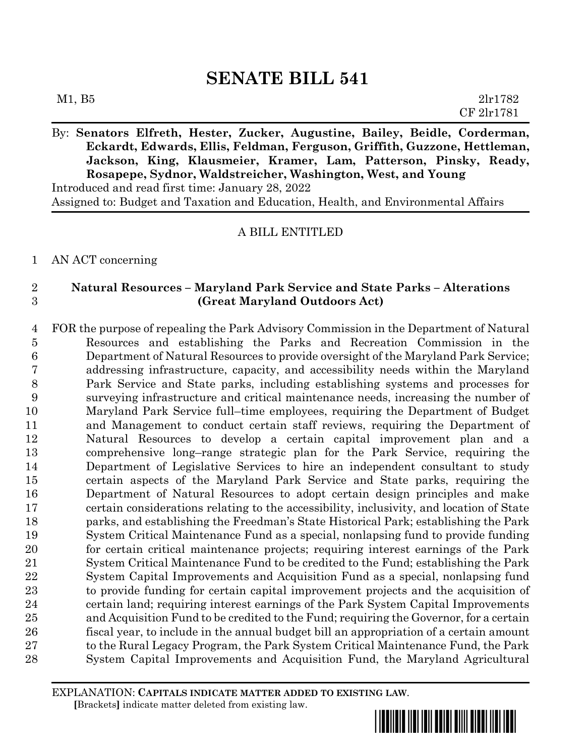By: **Senators Elfreth, Hester, Zucker, Augustine, Bailey, Beidle, Corderman, Eckardt, Edwards, Ellis, Feldman, Ferguson, Griffith, Guzzone, Hettleman, Jackson, King, Klausmeier, Kramer, Lam, Patterson, Pinsky, Ready, Rosapepe, Sydnor, Waldstreicher, Washington, West, and Young** Introduced and read first time: January 28, 2022

Assigned to: Budget and Taxation and Education, Health, and Environmental Affairs

## A BILL ENTITLED

## AN ACT concerning

## **Natural Resources – Maryland Park Service and State Parks – Alterations (Great Maryland Outdoors Act)**

 FOR the purpose of repealing the Park Advisory Commission in the Department of Natural Resources and establishing the Parks and Recreation Commission in the Department of Natural Resources to provide oversight of the Maryland Park Service; addressing infrastructure, capacity, and accessibility needs within the Maryland Park Service and State parks, including establishing systems and processes for surveying infrastructure and critical maintenance needs, increasing the number of Maryland Park Service full–time employees, requiring the Department of Budget and Management to conduct certain staff reviews, requiring the Department of Natural Resources to develop a certain capital improvement plan and a comprehensive long–range strategic plan for the Park Service, requiring the Department of Legislative Services to hire an independent consultant to study certain aspects of the Maryland Park Service and State parks, requiring the Department of Natural Resources to adopt certain design principles and make certain considerations relating to the accessibility, inclusivity, and location of State parks, and establishing the Freedman's State Historical Park; establishing the Park System Critical Maintenance Fund as a special, nonlapsing fund to provide funding for certain critical maintenance projects; requiring interest earnings of the Park System Critical Maintenance Fund to be credited to the Fund; establishing the Park System Capital Improvements and Acquisition Fund as a special, nonlapsing fund to provide funding for certain capital improvement projects and the acquisition of certain land; requiring interest earnings of the Park System Capital Improvements and Acquisition Fund to be credited to the Fund; requiring the Governor, for a certain fiscal year, to include in the annual budget bill an appropriation of a certain amount to the Rural Legacy Program, the Park System Critical Maintenance Fund, the Park System Capital Improvements and Acquisition Fund, the Maryland Agricultural

EXPLANATION: **CAPITALS INDICATE MATTER ADDED TO EXISTING LAW**.  **[**Brackets**]** indicate matter deleted from existing law.

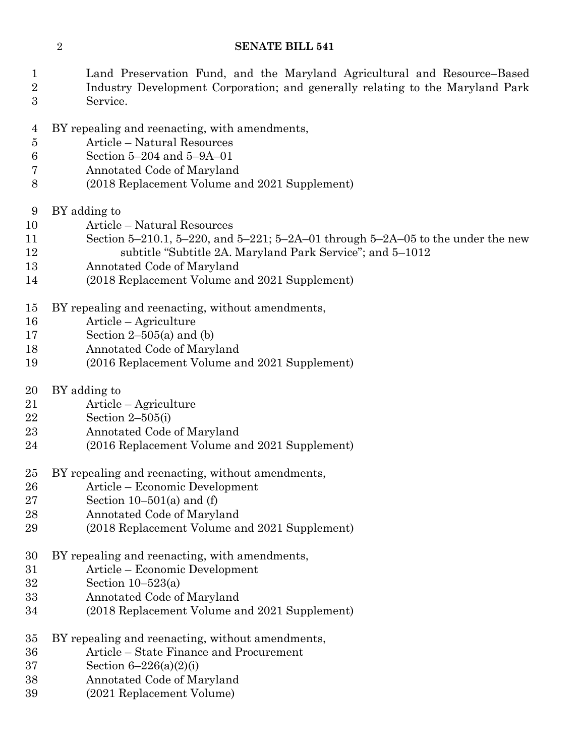- Land Preservation Fund, and the Maryland Agricultural and Resource–Based Industry Development Corporation; and generally relating to the Maryland Park
- Service.
- BY repealing and reenacting, with amendments,
- Article Natural Resources
- Section 5–204 and 5–9A–01
- Annotated Code of Maryland
- (2018 Replacement Volume and 2021 Supplement)
- BY adding to
- Article Natural Resources
- Section 5–210.1, 5–220, and 5–221; 5–2A–01 through 5–2A–05 to the under the new subtitle "Subtitle 2A. Maryland Park Service"; and 5–1012
- Annotated Code of Maryland
- (2018 Replacement Volume and 2021 Supplement)
- BY repealing and reenacting, without amendments,
- Article Agriculture
- Section 2–505(a) and (b)
- Annotated Code of Maryland
- (2016 Replacement Volume and 2021 Supplement)
- BY adding to
- Article Agriculture
- Section 2–505(i)
- Annotated Code of Maryland
- (2016 Replacement Volume and 2021 Supplement)
- BY repealing and reenacting, without amendments,
- Article Economic Development
- 27 Section  $10-501(a)$  and (f)
- Annotated Code of Maryland
- (2018 Replacement Volume and 2021 Supplement)
- BY repealing and reenacting, with amendments,
- Article Economic Development
- Section 10–523(a)
- Annotated Code of Maryland
- (2018 Replacement Volume and 2021 Supplement)
- BY repealing and reenacting, without amendments,
- Article State Finance and Procurement
- Section 6–226(a)(2)(i)
- Annotated Code of Maryland
- (2021 Replacement Volume)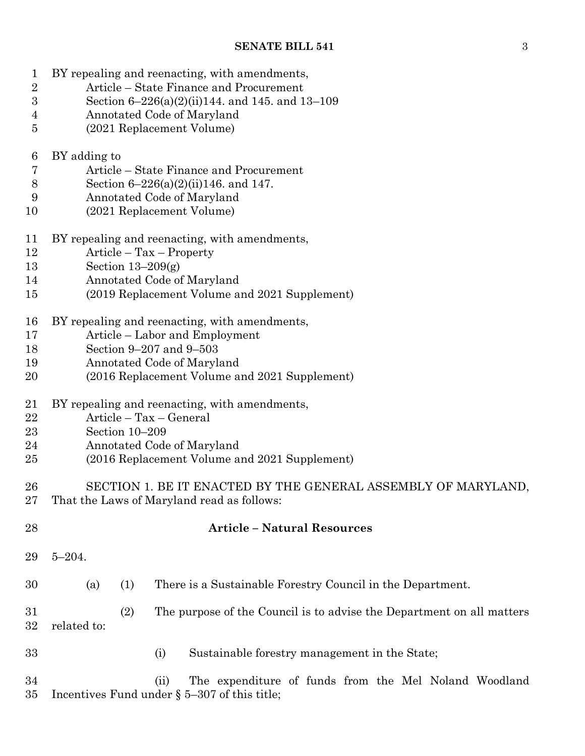BY repealing and reenacting, with amendments,

| $\sqrt{2}$       | Article – State Finance and Procurement                                                                          |  |  |  |  |  |  |  |
|------------------|------------------------------------------------------------------------------------------------------------------|--|--|--|--|--|--|--|
| $\boldsymbol{3}$ | Section $6-226(a)(2)(ii)144$ , and 145, and 13-109                                                               |  |  |  |  |  |  |  |
| 4                | Annotated Code of Maryland                                                                                       |  |  |  |  |  |  |  |
| $\overline{5}$   | (2021 Replacement Volume)                                                                                        |  |  |  |  |  |  |  |
| 6                | BY adding to                                                                                                     |  |  |  |  |  |  |  |
| $\overline{7}$   | Article – State Finance and Procurement                                                                          |  |  |  |  |  |  |  |
| $8\,$            | Section $6-226(a)(2)(ii)146$ . and 147.                                                                          |  |  |  |  |  |  |  |
| 9                | Annotated Code of Maryland                                                                                       |  |  |  |  |  |  |  |
| 10               | (2021 Replacement Volume)                                                                                        |  |  |  |  |  |  |  |
| 11               | BY repealing and reenacting, with amendments,                                                                    |  |  |  |  |  |  |  |
| 12               | Article – Tax – Property                                                                                         |  |  |  |  |  |  |  |
| 13               | Section $13-209(g)$                                                                                              |  |  |  |  |  |  |  |
| 14               | Annotated Code of Maryland                                                                                       |  |  |  |  |  |  |  |
| 15               | (2019 Replacement Volume and 2021 Supplement)                                                                    |  |  |  |  |  |  |  |
| 16               | BY repealing and reenacting, with amendments,                                                                    |  |  |  |  |  |  |  |
| 17               | Article – Labor and Employment                                                                                   |  |  |  |  |  |  |  |
| 18               | Section 9-207 and 9-503                                                                                          |  |  |  |  |  |  |  |
| 19               | Annotated Code of Maryland                                                                                       |  |  |  |  |  |  |  |
| 20               | (2016 Replacement Volume and 2021 Supplement)                                                                    |  |  |  |  |  |  |  |
| 21               | BY repealing and reenacting, with amendments,                                                                    |  |  |  |  |  |  |  |
| $\bf{22}$        | Article - Tax - General                                                                                          |  |  |  |  |  |  |  |
| 23               | Section 10-209                                                                                                   |  |  |  |  |  |  |  |
| 24               | Annotated Code of Maryland                                                                                       |  |  |  |  |  |  |  |
| 25               | (2016 Replacement Volume and 2021 Supplement)                                                                    |  |  |  |  |  |  |  |
| 26               | SECTION 1. BE IT ENACTED BY THE GENERAL ASSEMBLY OF MARYLAND,                                                    |  |  |  |  |  |  |  |
| 27               | That the Laws of Maryland read as follows:                                                                       |  |  |  |  |  |  |  |
| 28               | <b>Article - Natural Resources</b>                                                                               |  |  |  |  |  |  |  |
| 29               | $5 - 204$ .                                                                                                      |  |  |  |  |  |  |  |
| 30               | There is a Sustainable Forestry Council in the Department.<br>(a)<br>(1)                                         |  |  |  |  |  |  |  |
| 31<br>32         | (2)<br>The purpose of the Council is to advise the Department on all matters<br>related to:                      |  |  |  |  |  |  |  |
| 33               | Sustainable forestry management in the State;<br>(i)                                                             |  |  |  |  |  |  |  |
| 34<br>35         | The expenditure of funds from the Mel Noland Woodland<br>(ii)<br>Incentives Fund under $\S$ 5–307 of this title; |  |  |  |  |  |  |  |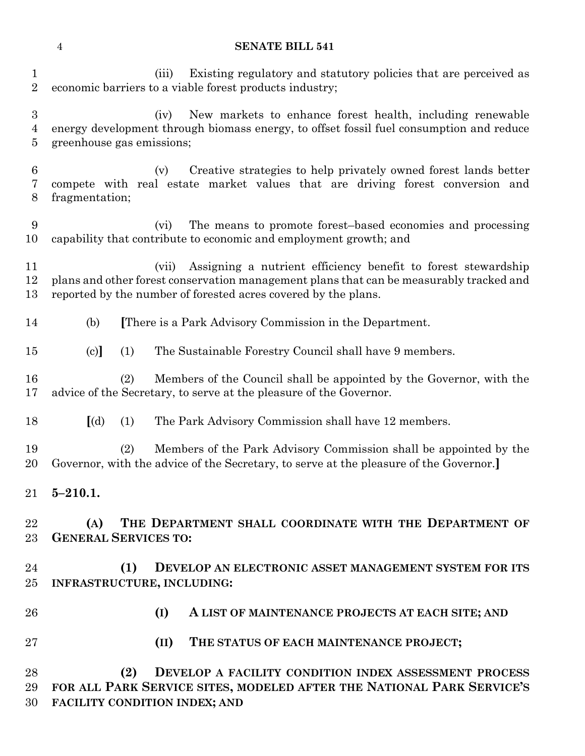(iii) Existing regulatory and statutory policies that are perceived as economic barriers to a viable forest products industry; (iv) New markets to enhance forest health, including renewable energy development through biomass energy, to offset fossil fuel consumption and reduce greenhouse gas emissions; (v) Creative strategies to help privately owned forest lands better compete with real estate market values that are driving forest conversion and fragmentation; (vi) The means to promote forest–based economies and processing capability that contribute to economic and employment growth; and (vii) Assigning a nutrient efficiency benefit to forest stewardship plans and other forest conservation management plans that can be measurably tracked and reported by the number of forested acres covered by the plans. (b) **[**There is a Park Advisory Commission in the Department. (c)**]** (1) The Sustainable Forestry Council shall have 9 members. (2) Members of the Council shall be appointed by the Governor, with the advice of the Secretary, to serve at the pleasure of the Governor. **[**(d) (1) The Park Advisory Commission shall have 12 members. (2) Members of the Park Advisory Commission shall be appointed by the Governor, with the advice of the Secretary, to serve at the pleasure of the Governor.**] 5–210.1. (A) THE DEPARTMENT SHALL COORDINATE WITH THE DEPARTMENT OF GENERAL SERVICES TO: (1) DEVELOP AN ELECTRONIC ASSET MANAGEMENT SYSTEM FOR ITS INFRASTRUCTURE, INCLUDING: (I) A LIST OF MAINTENANCE PROJECTS AT EACH SITE; AND (II) THE STATUS OF EACH MAINTENANCE PROJECT;**

 **(2) DEVELOP A FACILITY CONDITION INDEX ASSESSMENT PROCESS FOR ALL PARK SERVICE SITES, MODELED AFTER THE NATIONAL PARK SERVICE'S FACILITY CONDITION INDEX; AND**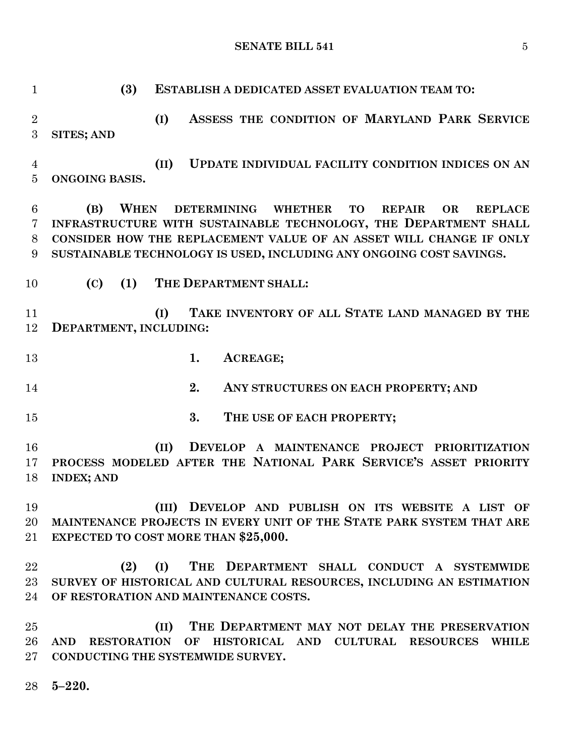**(3) ESTABLISH A DEDICATED ASSET EVALUATION TEAM TO: (I) ASSESS THE CONDITION OF MARYLAND PARK SERVICE SITES; AND (II) UPDATE INDIVIDUAL FACILITY CONDITION INDICES ON AN ONGOING BASIS. (B) WHEN DETERMINING WHETHER TO REPAIR OR REPLACE INFRASTRUCTURE WITH SUSTAINABLE TECHNOLOGY, THE DEPARTMENT SHALL CONSIDER HOW THE REPLACEMENT VALUE OF AN ASSET WILL CHANGE IF ONLY SUSTAINABLE TECHNOLOGY IS USED, INCLUDING ANY ONGOING COST SAVINGS. (C) (1) THE DEPARTMENT SHALL: (I) TAKE INVENTORY OF ALL STATE LAND MANAGED BY THE DEPARTMENT, INCLUDING: 1. ACREAGE; 2. ANY STRUCTURES ON EACH PROPERTY; AND 3. THE USE OF EACH PROPERTY; (II) DEVELOP A MAINTENANCE PROJECT PRIORITIZATION PROCESS MODELED AFTER THE NATIONAL PARK SERVICE'S ASSET PRIORITY INDEX; AND (III) DEVELOP AND PUBLISH ON ITS WEBSITE A LIST OF MAINTENANCE PROJECTS IN EVERY UNIT OF THE STATE PARK SYSTEM THAT ARE EXPECTED TO COST MORE THAN \$25,000. (2) (I) THE DEPARTMENT SHALL CONDUCT A SYSTEMWIDE SURVEY OF HISTORICAL AND CULTURAL RESOURCES, INCLUDING AN ESTIMATION OF RESTORATION AND MAINTENANCE COSTS. (II) THE DEPARTMENT MAY NOT DELAY THE PRESERVATION AND RESTORATION OF HISTORICAL AND CULTURAL RESOURCES WHILE CONDUCTING THE SYSTEMWIDE SURVEY.**

**5–220.**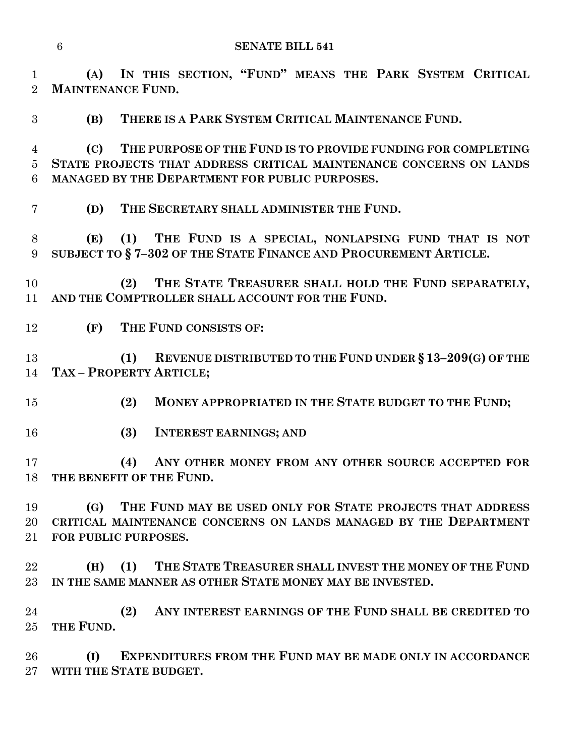**(A) IN THIS SECTION, "FUND" MEANS THE PARK SYSTEM CRITICAL MAINTENANCE FUND.**

**(B) THERE IS A PARK SYSTEM CRITICAL MAINTENANCE FUND.**

 **(C) THE PURPOSE OF THE FUND IS TO PROVIDE FUNDING FOR COMPLETING STATE PROJECTS THAT ADDRESS CRITICAL MAINTENANCE CONCERNS ON LANDS MANAGED BY THE DEPARTMENT FOR PUBLIC PURPOSES.**

**(D) THE SECRETARY SHALL ADMINISTER THE FUND.**

 **(E) (1) THE FUND IS A SPECIAL, NONLAPSING FUND THAT IS NOT SUBJECT TO § 7–302 OF THE STATE FINANCE AND PROCUREMENT ARTICLE.**

 **(2) THE STATE TREASURER SHALL HOLD THE FUND SEPARATELY, AND THE COMPTROLLER SHALL ACCOUNT FOR THE FUND.**

**(F) THE FUND CONSISTS OF:**

 **(1) REVENUE DISTRIBUTED TO THE FUND UNDER § 13–209(G) OF THE TAX – PROPERTY ARTICLE;**

- **(2) MONEY APPROPRIATED IN THE STATE BUDGET TO THE FUND;**
- **(3) INTEREST EARNINGS; AND**

 **(4) ANY OTHER MONEY FROM ANY OTHER SOURCE ACCEPTED FOR THE BENEFIT OF THE FUND.**

 **(G) THE FUND MAY BE USED ONLY FOR STATE PROJECTS THAT ADDRESS CRITICAL MAINTENANCE CONCERNS ON LANDS MANAGED BY THE DEPARTMENT FOR PUBLIC PURPOSES.**

 **(H) (1) THE STATE TREASURER SHALL INVEST THE MONEY OF THE FUND IN THE SAME MANNER AS OTHER STATE MONEY MAY BE INVESTED.**

 **(2) ANY INTEREST EARNINGS OF THE FUND SHALL BE CREDITED TO THE FUND.**

 **(I) EXPENDITURES FROM THE FUND MAY BE MADE ONLY IN ACCORDANCE WITH THE STATE BUDGET.**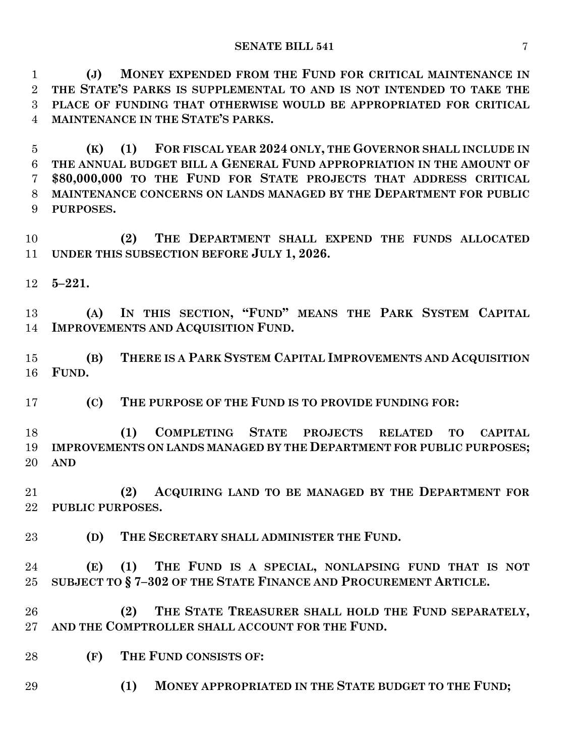**(J) MONEY EXPENDED FROM THE FUND FOR CRITICAL MAINTENANCE IN THE STATE'S PARKS IS SUPPLEMENTAL TO AND IS NOT INTENDED TO TAKE THE PLACE OF FUNDING THAT OTHERWISE WOULD BE APPROPRIATED FOR CRITICAL MAINTENANCE IN THE STATE'S PARKS.**

 **(K) (1) FOR FISCAL YEAR 2024 ONLY, THE GOVERNOR SHALL INCLUDE IN THE ANNUAL BUDGET BILL A GENERAL FUND APPROPRIATION IN THE AMOUNT OF \$80,000,000 TO THE FUND FOR STATE PROJECTS THAT ADDRESS CRITICAL MAINTENANCE CONCERNS ON LANDS MANAGED BY THE DEPARTMENT FOR PUBLIC PURPOSES.**

 **(2) THE DEPARTMENT SHALL EXPEND THE FUNDS ALLOCATED UNDER THIS SUBSECTION BEFORE JULY 1, 2026.**

**5–221.**

 **(A) IN THIS SECTION, "FUND" MEANS THE PARK SYSTEM CAPITAL IMPROVEMENTS AND ACQUISITION FUND.**

 **(B) THERE IS A PARK SYSTEM CAPITAL IMPROVEMENTS AND ACQUISITION FUND.**

**(C) THE PURPOSE OF THE FUND IS TO PROVIDE FUNDING FOR:**

 **(1) COMPLETING STATE PROJECTS RELATED TO CAPITAL IMPROVEMENTS ON LANDS MANAGED BY THE DEPARTMENT FOR PUBLIC PURPOSES; AND**

 **(2) ACQUIRING LAND TO BE MANAGED BY THE DEPARTMENT FOR PUBLIC PURPOSES.**

**(D) THE SECRETARY SHALL ADMINISTER THE FUND.**

 **(E) (1) THE FUND IS A SPECIAL, NONLAPSING FUND THAT IS NOT SUBJECT TO § 7–302 OF THE STATE FINANCE AND PROCUREMENT ARTICLE.**

 **(2) THE STATE TREASURER SHALL HOLD THE FUND SEPARATELY, AND THE COMPTROLLER SHALL ACCOUNT FOR THE FUND.**

**(F) THE FUND CONSISTS OF:**

**(1) MONEY APPROPRIATED IN THE STATE BUDGET TO THE FUND;**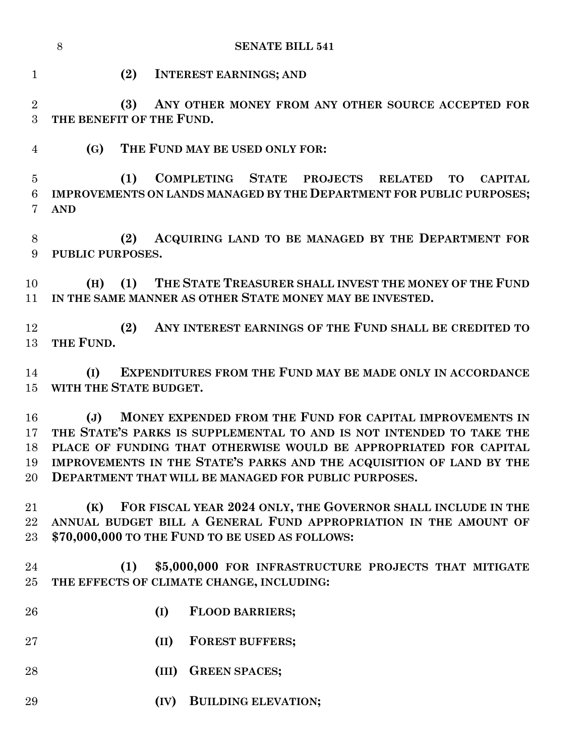|                            | 8                | <b>SENATE BILL 541</b>                                                                                                                                                                                                                                                                                                                |
|----------------------------|------------------|---------------------------------------------------------------------------------------------------------------------------------------------------------------------------------------------------------------------------------------------------------------------------------------------------------------------------------------|
| 1                          |                  | (2)<br><b>INTEREST EARNINGS; AND</b>                                                                                                                                                                                                                                                                                                  |
| $\overline{2}$<br>3        |                  | (3)<br>ANY OTHER MONEY FROM ANY OTHER SOURCE ACCEPTED FOR<br>THE BENEFIT OF THE FUND.                                                                                                                                                                                                                                                 |
| $\overline{4}$             | (G)              | THE FUND MAY BE USED ONLY FOR:                                                                                                                                                                                                                                                                                                        |
| $\overline{5}$<br>6<br>7   | <b>AND</b>       | COMPLETING STATE PROJECTS<br>(1)<br><b>RELATED</b><br><b>TO</b><br><b>CAPITAL</b><br>IMPROVEMENTS ON LANDS MANAGED BY THE DEPARTMENT FOR PUBLIC PURPOSES;                                                                                                                                                                             |
| 8<br>9                     | PUBLIC PURPOSES. | ACQUIRING LAND TO BE MANAGED BY THE DEPARTMENT FOR<br>(2)                                                                                                                                                                                                                                                                             |
| 10<br>11                   | (H)              | THE STATE TREASURER SHALL INVEST THE MONEY OF THE FUND<br>(1)<br>IN THE SAME MANNER AS OTHER STATE MONEY MAY BE INVESTED.                                                                                                                                                                                                             |
| 12<br>13                   | THE FUND.        | ANY INTEREST EARNINGS OF THE FUND SHALL BE CREDITED TO<br>(2)                                                                                                                                                                                                                                                                         |
| 14<br>15                   | (I)              | EXPENDITURES FROM THE FUND MAY BE MADE ONLY IN ACCORDANCE<br>WITH THE STATE BUDGET.                                                                                                                                                                                                                                                   |
| 16<br>17<br>18<br>19<br>20 | $(\mathbf{J})$   | MONEY EXPENDED FROM THE FUND FOR CAPITAL IMPROVEMENTS IN<br>THE STATE'S PARKS IS SUPPLEMENTAL TO AND IS NOT INTENDED TO TAKE THE<br>PLACE OF FUNDING THAT OTHERWISE WOULD BE APPROPRIATED FOR CAPITAL<br>IMPROVEMENTS IN THE STATE'S PARKS AND THE ACQUISITION OF LAND BY THE<br>DEPARTMENT THAT WILL BE MANAGED FOR PUBLIC PURPOSES. |
| 21<br>22<br>23             | (K)              | FOR FISCAL YEAR 2024 ONLY, THE GOVERNOR SHALL INCLUDE IN THE<br>ANNUAL BUDGET BILL A GENERAL FUND APPROPRIATION IN THE AMOUNT OF<br>\$70,000,000 TO THE FUND TO BE USED AS FOLLOWS:                                                                                                                                                   |
| 24<br>$25\,$               |                  | (1)<br>\$5,000,000 FOR INFRASTRUCTURE PROJECTS THAT MITIGATE<br>THE EFFECTS OF CLIMATE CHANGE, INCLUDING:                                                                                                                                                                                                                             |
| 26                         |                  | <b>FLOOD BARRIERS;</b><br>(I)                                                                                                                                                                                                                                                                                                         |
| 27                         |                  | <b>FOREST BUFFERS;</b><br>(II)                                                                                                                                                                                                                                                                                                        |
| 28                         |                  | <b>GREEN SPACES;</b><br>(III)                                                                                                                                                                                                                                                                                                         |
| 29                         |                  | <b>BUILDING ELEVATION;</b><br>(IV)                                                                                                                                                                                                                                                                                                    |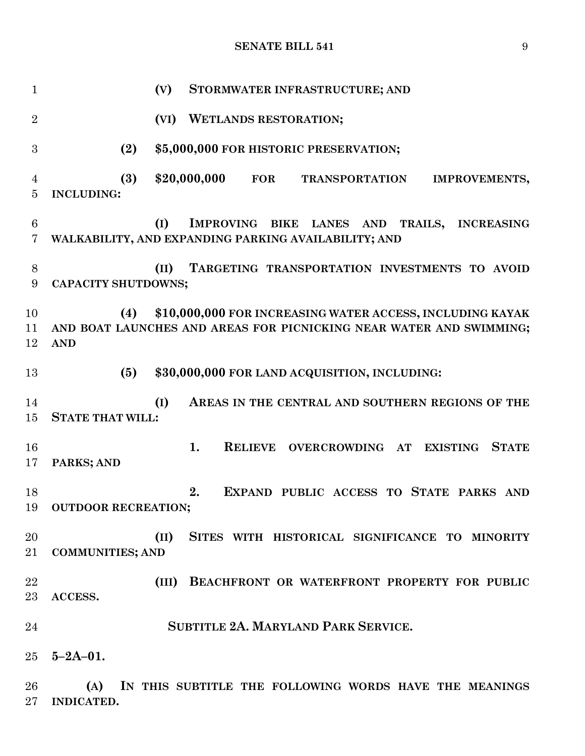**(V) STORMWATER INFRASTRUCTURE; AND (VI) WETLANDS RESTORATION; (2) \$5,000,000 FOR HISTORIC PRESERVATION; (3) \$20,000,000 FOR TRANSPORTATION IMPROVEMENTS, INCLUDING: (I) IMPROVING BIKE LANES AND TRAILS, INCREASING WALKABILITY, AND EXPANDING PARKING AVAILABILITY; AND (II) TARGETING TRANSPORTATION INVESTMENTS TO AVOID CAPACITY SHUTDOWNS; (4) \$10,000,000 FOR INCREASING WATER ACCESS, INCLUDING KAYAK AND BOAT LAUNCHES AND AREAS FOR PICNICKING NEAR WATER AND SWIMMING; AND (5) \$30,000,000 FOR LAND ACQUISITION, INCLUDING: (I) AREAS IN THE CENTRAL AND SOUTHERN REGIONS OF THE STATE THAT WILL: 1. RELIEVE OVERCROWDING AT EXISTING STATE PARKS; AND 2. EXPAND PUBLIC ACCESS TO STATE PARKS AND OUTDOOR RECREATION; (II) SITES WITH HISTORICAL SIGNIFICANCE TO MINORITY COMMUNITIES; AND (III) BEACHFRONT OR WATERFRONT PROPERTY FOR PUBLIC ACCESS. SUBTITLE 2A. MARYLAND PARK SERVICE. 5–2A–01. (A) IN THIS SUBTITLE THE FOLLOWING WORDS HAVE THE MEANINGS INDICATED.**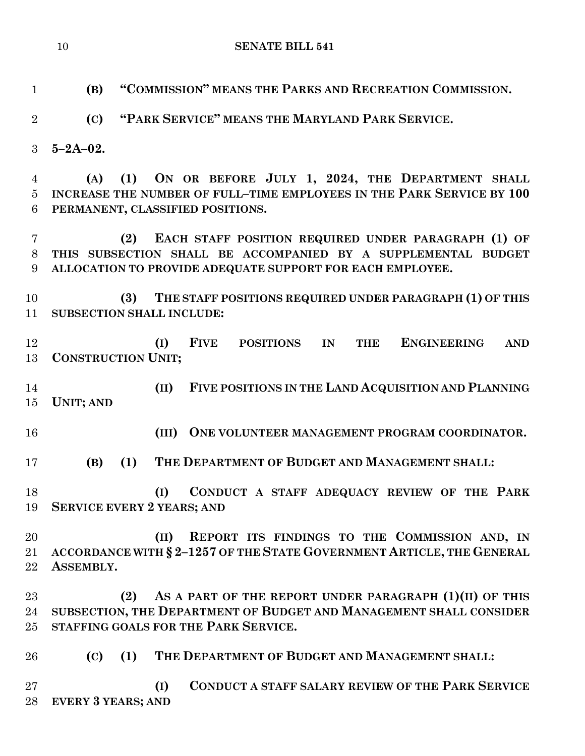| $\mathbf{1}$   | "COMMISSION" MEANS THE PARKS AND RECREATION COMMISSION.<br>(B)                                      |
|----------------|-----------------------------------------------------------------------------------------------------|
| $\overline{2}$ | "PARK SERVICE" MEANS THE MARYLAND PARK SERVICE.<br>(C)                                              |
| $\mathbf{3}$   | $5 - 2A - 02$ .                                                                                     |
|                |                                                                                                     |
| $\overline{4}$ | ON OR BEFORE JULY 1, 2024, THE DEPARTMENT SHALL<br>(1)<br>(A)                                       |
| $\overline{5}$ | INCREASE THE NUMBER OF FULL-TIME EMPLOYEES IN THE PARK SERVICE BY 100                               |
| 6              | PERMANENT, CLASSIFIED POSITIONS.                                                                    |
| 7              | EACH STAFF POSITION REQUIRED UNDER PARAGRAPH (1) OF<br>(2)                                          |
| 8              | THIS SUBSECTION SHALL BE ACCOMPANIED BY A SUPPLEMENTAL BUDGET                                       |
| 9              | ALLOCATION TO PROVIDE ADEQUATE SUPPORT FOR EACH EMPLOYEE.                                           |
|                |                                                                                                     |
| 10<br>11       | THE STAFF POSITIONS REQUIRED UNDER PARAGRAPH (1) OF THIS<br>(3)<br><b>SUBSECTION SHALL INCLUDE:</b> |
|                |                                                                                                     |
| 12             | <b>FIVE</b><br><b>ENGINEERING</b><br><b>POSITIONS</b><br>IN<br><b>THE</b><br>(I)<br><b>AND</b>      |
| 13             | <b>CONSTRUCTION UNIT;</b>                                                                           |
|                |                                                                                                     |
| 14<br>15       | FIVE POSITIONS IN THE LAND ACQUISITION AND PLANNING<br>(II)<br><b>UNIT; AND</b>                     |
|                |                                                                                                     |
| 16             | ONE VOLUNTEER MANAGEMENT PROGRAM COORDINATOR.<br>(III)                                              |
| 17             | (1)<br>THE DEPARTMENT OF BUDGET AND MANAGEMENT SHALL:<br>(B)                                        |
|                |                                                                                                     |
| 18<br>19       | CONDUCT A STAFF ADEQUACY REVIEW OF THE PARK<br>(I)<br><b>SERVICE EVERY 2 YEARS; AND</b>             |
|                |                                                                                                     |
| 20             | REPORT ITS FINDINGS TO THE COMMISSION AND, IN<br>(II)                                               |
| 21             | ACCORDANCE WITH § 2-1257 OF THE STATE GOVERNMENT ARTICLE, THE GENERAL                               |
| 22             | ASSEMBLY.                                                                                           |
| 23             | AS A PART OF THE REPORT UNDER PARAGRAPH (1)(II) OF THIS<br>(2)                                      |
| 24             | SUBSECTION, THE DEPARTMENT OF BUDGET AND MANAGEMENT SHALL CONSIDER                                  |
| 25             | STAFFING GOALS FOR THE PARK SERVICE.                                                                |
|                |                                                                                                     |
| 26             | THE DEPARTMENT OF BUDGET AND MANAGEMENT SHALL:<br>(1)<br>(C)                                        |
| 27             | <b>CONDUCT A STAFF SALARY REVIEW OF THE PARK SERVICE</b><br>(I)                                     |

**EVERY 3 YEARS; AND**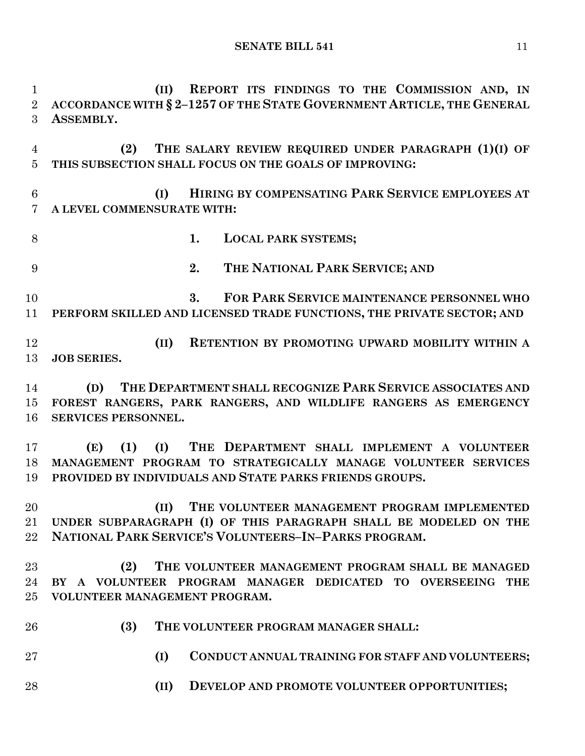**(II) REPORT ITS FINDINGS TO THE COMMISSION AND, IN ACCORDANCE WITH § 2–1257 OF THE STATE GOVERNMENT ARTICLE, THE GENERAL ASSEMBLY. (2) THE SALARY REVIEW REQUIRED UNDER PARAGRAPH (1)(I) OF THIS SUBSECTION SHALL FOCUS ON THE GOALS OF IMPROVING: (I) HIRING BY COMPENSATING PARK SERVICE EMPLOYEES AT A LEVEL COMMENSURATE WITH: 1. LOCAL PARK SYSTEMS; 2. THE NATIONAL PARK SERVICE; AND 3. FOR PARK SERVICE MAINTENANCE PERSONNEL WHO PERFORM SKILLED AND LICENSED TRADE FUNCTIONS, THE PRIVATE SECTOR; AND (II) RETENTION BY PROMOTING UPWARD MOBILITY WITHIN A JOB SERIES. (D) THE DEPARTMENT SHALL RECOGNIZE PARK SERVICE ASSOCIATES AND FOREST RANGERS, PARK RANGERS, AND WILDLIFE RANGERS AS EMERGENCY SERVICES PERSONNEL. (E) (1) (I) THE DEPARTMENT SHALL IMPLEMENT A VOLUNTEER MANAGEMENT PROGRAM TO STRATEGICALLY MANAGE VOLUNTEER SERVICES PROVIDED BY INDIVIDUALS AND STATE PARKS FRIENDS GROUPS. (II) THE VOLUNTEER MANAGEMENT PROGRAM IMPLEMENTED UNDER SUBPARAGRAPH (I) OF THIS PARAGRAPH SHALL BE MODELED ON THE NATIONAL PARK SERVICE'S VOLUNTEERS–IN–PARKS PROGRAM. (2) THE VOLUNTEER MANAGEMENT PROGRAM SHALL BE MANAGED BY A VOLUNTEER PROGRAM MANAGER DEDICATED TO OVERSEEING THE VOLUNTEER MANAGEMENT PROGRAM. (3) THE VOLUNTEER PROGRAM MANAGER SHALL: (I) CONDUCT ANNUAL TRAINING FOR STAFF AND VOLUNTEERS; (II) DEVELOP AND PROMOTE VOLUNTEER OPPORTUNITIES;**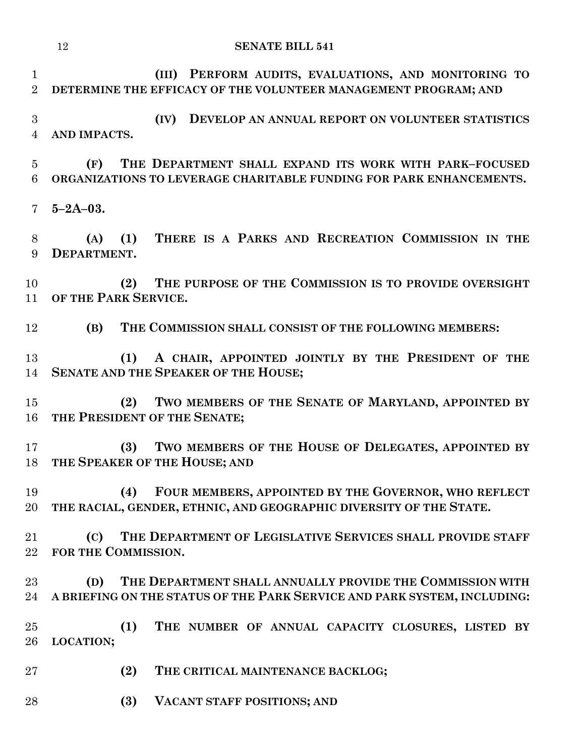**SENATE BILL 541 (III) PERFORM AUDITS, EVALUATIONS, AND MONITORING TO DETERMINE THE EFFICACY OF THE VOLUNTEER MANAGEMENT PROGRAM; AND (IV) DEVELOP AN ANNUAL REPORT ON VOLUNTEER STATISTICS AND IMPACTS. (F) THE DEPARTMENT SHALL EXPAND ITS WORK WITH PARK–FOCUSED ORGANIZATIONS TO LEVERAGE CHARITABLE FUNDING FOR PARK ENHANCEMENTS. 5–2A–03. (A) (1) THERE IS A PARKS AND RECREATION COMMISSION IN THE DEPARTMENT. (2) THE PURPOSE OF THE COMMISSION IS TO PROVIDE OVERSIGHT OF THE PARK SERVICE. (B) THE COMMISSION SHALL CONSIST OF THE FOLLOWING MEMBERS: (1) A CHAIR, APPOINTED JOINTLY BY THE PRESIDENT OF THE SENATE AND THE SPEAKER OF THE HOUSE; (2) TWO MEMBERS OF THE SENATE OF MARYLAND, APPOINTED BY THE PRESIDENT OF THE SENATE; (3) TWO MEMBERS OF THE HOUSE OF DELEGATES, APPOINTED BY THE SPEAKER OF THE HOUSE; AND (4) FOUR MEMBERS, APPOINTED BY THE GOVERNOR, WHO REFLECT THE RACIAL, GENDER, ETHNIC, AND GEOGRAPHIC DIVERSITY OF THE STATE. (C) THE DEPARTMENT OF LEGISLATIVE SERVICES SHALL PROVIDE STAFF FOR THE COMMISSION. (D) THE DEPARTMENT SHALL ANNUALLY PROVIDE THE COMMISSION WITH** 

 **(1) THE NUMBER OF ANNUAL CAPACITY CLOSURES, LISTED BY LOCATION;**

**A BRIEFING ON THE STATUS OF THE PARK SERVICE AND PARK SYSTEM, INCLUDING:**

- **(2) THE CRITICAL MAINTENANCE BACKLOG;**
- **(3) VACANT STAFF POSITIONS; AND**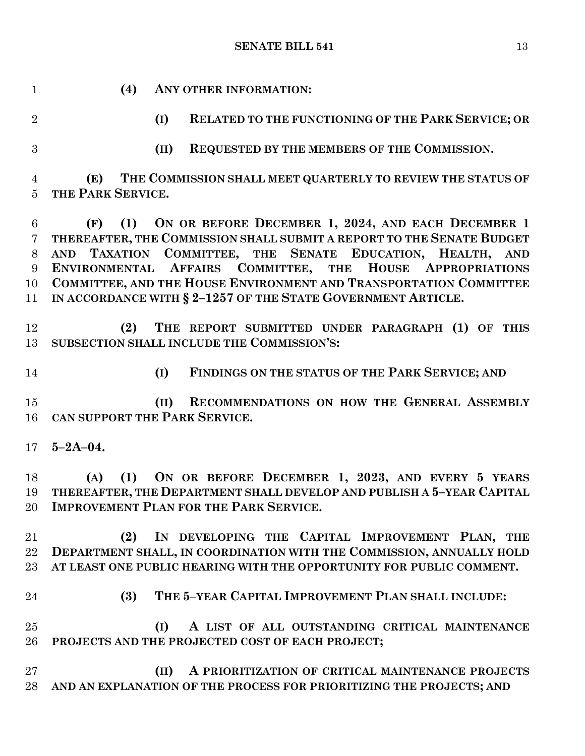**(4) ANY OTHER INFORMATION: (I) RELATED TO THE FUNCTIONING OF THE PARK SERVICE; OR (II) REQUESTED BY THE MEMBERS OF THE COMMISSION. (E) THE COMMISSION SHALL MEET QUARTERLY TO REVIEW THE STATUS OF THE PARK SERVICE. (F) (1) ON OR BEFORE DECEMBER 1, 2024, AND EACH DECEMBER 1 THEREAFTER, THE COMMISSION SHALL SUBMIT A REPORT TO THE SENATE BUDGET AND TAXATION COMMITTEE, THE SENATE EDUCATION, HEALTH, AND ENVIRONMENTAL AFFAIRS COMMITTEE, THE HOUSE APPROPRIATIONS COMMITTEE, AND THE HOUSE ENVIRONMENT AND TRANSPORTATION COMMITTEE IN ACCORDANCE WITH § 2–1257 OF THE STATE GOVERNMENT ARTICLE. (2) THE REPORT SUBMITTED UNDER PARAGRAPH (1) OF THIS SUBSECTION SHALL INCLUDE THE COMMISSION'S: (I) FINDINGS ON THE STATUS OF THE PARK SERVICE; AND (II) RECOMMENDATIONS ON HOW THE GENERAL ASSEMBLY CAN SUPPORT THE PARK SERVICE. 5–2A–04. (A) (1) ON OR BEFORE DECEMBER 1, 2023, AND EVERY 5 YEARS THEREAFTER, THE DEPARTMENT SHALL DEVELOP AND PUBLISH A 5–YEAR CAPITAL IMPROVEMENT PLAN FOR THE PARK SERVICE. (2) IN DEVELOPING THE CAPITAL IMPROVEMENT PLAN, THE DEPARTMENT SHALL, IN COORDINATION WITH THE COMMISSION, ANNUALLY HOLD AT LEAST ONE PUBLIC HEARING WITH THE OPPORTUNITY FOR PUBLIC COMMENT. (3) THE 5–YEAR CAPITAL IMPROVEMENT PLAN SHALL INCLUDE: (I) A LIST OF ALL OUTSTANDING CRITICAL MAINTENANCE PROJECTS AND THE PROJECTED COST OF EACH PROJECT; (II) A PRIORITIZATION OF CRITICAL MAINTENANCE PROJECTS AND AN EXPLANATION OF THE PROCESS FOR PRIORITIZING THE PROJECTS; AND**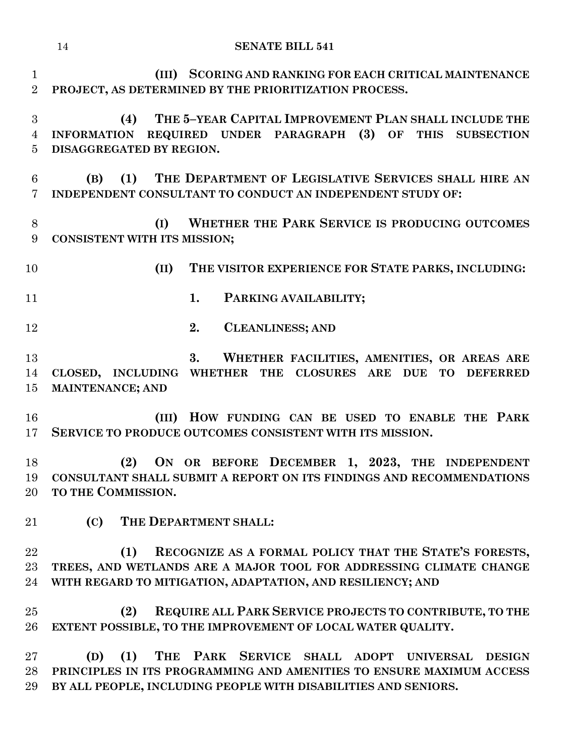**(III) SCORING AND RANKING FOR EACH CRITICAL MAINTENANCE PROJECT, AS DETERMINED BY THE PRIORITIZATION PROCESS.**

 **(4) THE 5–YEAR CAPITAL IMPROVEMENT PLAN SHALL INCLUDE THE INFORMATION REQUIRED UNDER PARAGRAPH (3) OF THIS SUBSECTION DISAGGREGATED BY REGION.**

 **(B) (1) THE DEPARTMENT OF LEGISLATIVE SERVICES SHALL HIRE AN INDEPENDENT CONSULTANT TO CONDUCT AN INDEPENDENT STUDY OF:**

 **(I) WHETHER THE PARK SERVICE IS PRODUCING OUTCOMES CONSISTENT WITH ITS MISSION;**

**(II) THE VISITOR EXPERIENCE FOR STATE PARKS, INCLUDING:**

- **1. PARKING AVAILABILITY;**
- **2. CLEANLINESS; AND**

 **3. WHETHER FACILITIES, AMENITIES, OR AREAS ARE CLOSED, INCLUDING WHETHER THE CLOSURES ARE DUE TO DEFERRED MAINTENANCE; AND** 

 **(III) HOW FUNDING CAN BE USED TO ENABLE THE PARK SERVICE TO PRODUCE OUTCOMES CONSISTENT WITH ITS MISSION.**

 **(2) ON OR BEFORE DECEMBER 1, 2023, THE INDEPENDENT CONSULTANT SHALL SUBMIT A REPORT ON ITS FINDINGS AND RECOMMENDATIONS TO THE COMMISSION.**

**(C) THE DEPARTMENT SHALL:**

 **(1) RECOGNIZE AS A FORMAL POLICY THAT THE STATE'S FORESTS, TREES, AND WETLANDS ARE A MAJOR TOOL FOR ADDRESSING CLIMATE CHANGE WITH REGARD TO MITIGATION, ADAPTATION, AND RESILIENCY; AND** 

 **(2) REQUIRE ALL PARK SERVICE PROJECTS TO CONTRIBUTE, TO THE EXTENT POSSIBLE, TO THE IMPROVEMENT OF LOCAL WATER QUALITY.**

 **(D) (1) THE PARK SERVICE SHALL ADOPT UNIVERSAL DESIGN PRINCIPLES IN ITS PROGRAMMING AND AMENITIES TO ENSURE MAXIMUM ACCESS BY ALL PEOPLE, INCLUDING PEOPLE WITH DISABILITIES AND SENIORS.**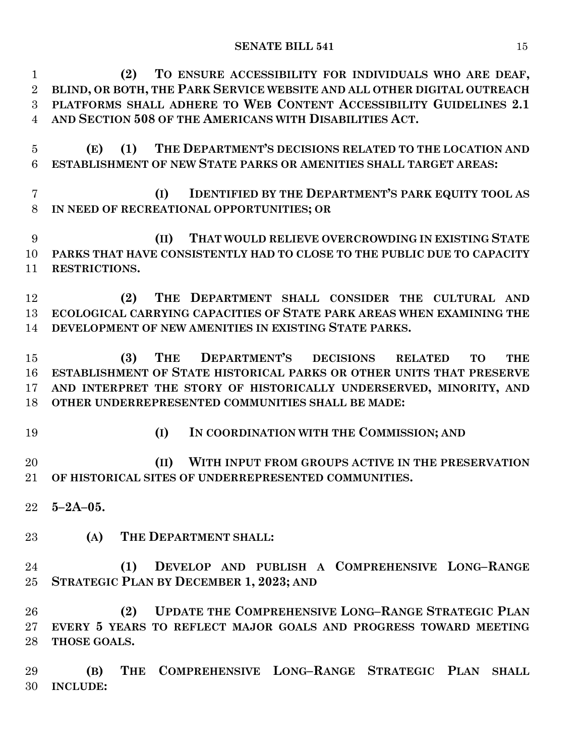| $\mathbf{1}$   | TO ENSURE ACCESSIBILITY FOR INDIVIDUALS WHO ARE DEAF,<br>(2)                   |
|----------------|--------------------------------------------------------------------------------|
| $\overline{2}$ | BLIND, OR BOTH, THE PARK SERVICE WEBSITE AND ALL OTHER DIGITAL OUTREACH        |
| 3              | PLATFORMS SHALL ADHERE TO WEB CONTENT ACCESSIBILITY GUIDELINES 2.1             |
| 4              | AND SECTION 508 OF THE AMERICANS WITH DISABILITIES ACT.                        |
|                |                                                                                |
| $\overline{5}$ | THE DEPARTMENT'S DECISIONS RELATED TO THE LOCATION AND<br>(1)<br>(E)           |
| 6              | ESTABLISHMENT OF NEW STATE PARKS OR AMENITIES SHALL TARGET AREAS:              |
|                |                                                                                |
|                |                                                                                |
| $\overline{7}$ | <b>IDENTIFIED BY THE DEPARTMENT'S PARK EQUITY TOOL AS</b><br>(I)               |
| 8              | IN NEED OF RECREATIONAL OPPORTUNITIES; OR                                      |
|                |                                                                                |
| 9              | THAT WOULD RELIEVE OVERCROWDING IN EXISTING STATE<br>(II)                      |
| 10             | PARKS THAT HAVE CONSISTENTLY HAD TO CLOSE TO THE PUBLIC DUE TO CAPACITY        |
| 11             | RESTRICTIONS.                                                                  |
|                |                                                                                |
| 12             | THE DEPARTMENT SHALL CONSIDER THE CULTURAL AND<br>(2)                          |
| 13             | ECOLOGICAL CARRYING CAPACITIES OF STATE PARK AREAS WHEN EXAMINING THE          |
| 14             | DEVELOPMENT OF NEW AMENITIES IN EXISTING STATE PARKS.                          |
|                |                                                                                |
| 15             | DEPARTMENT'S DECISIONS RELATED<br><b>THE</b><br>(3)<br><b>THE</b><br><b>TO</b> |
| 16             | ESTABLISHMENT OF STATE HISTORICAL PARKS OR OTHER UNITS THAT PRESERVE           |
| 17             | AND INTERPRET THE STORY OF HISTORICALLY UNDERSERVED, MINORITY, AND             |
|                |                                                                                |
| 18             | OTHER UNDERREPRESENTED COMMUNITIES SHALL BE MADE:                              |
|                |                                                                                |
| 19             | IN COORDINATION WITH THE COMMISSION; AND<br>(I)                                |
|                |                                                                                |
| 20             | WITH INPUT FROM GROUPS ACTIVE IN THE PRESERVATION<br>(II)                      |
| 21             | OF HISTORICAL SITES OF UNDERREPRESENTED COMMUNITIES.                           |
|                |                                                                                |
| 22             | $5 - 2A - 05$ .                                                                |
|                |                                                                                |
| 23             | THE DEPARTMENT SHALL:<br>(A)                                                   |
|                |                                                                                |
| 24             | DEVELOP AND PUBLISH A COMPREHENSIVE LONG-RANGE<br>(1)                          |
| 25             | <b>STRATEGIC PLAN BY DECEMBER 1, 2023; AND</b>                                 |
|                |                                                                                |
| 26             | <b>UPDATE THE COMPREHENSIVE LONG-RANGE STRATEGIC PLAN</b><br>(2)               |
| $27\,$         | EVERY 5 YEARS TO REFLECT MAJOR GOALS AND PROGRESS TOWARD MEETING               |
|                | THOSE GOALS.                                                                   |
| 28             |                                                                                |
|                |                                                                                |
| 29             | COMPREHENSIVE LONG-RANGE STRATEGIC PLAN<br><b>THE</b><br>(B)<br><b>SHALL</b>   |
| 30             | <b>INCLUDE:</b>                                                                |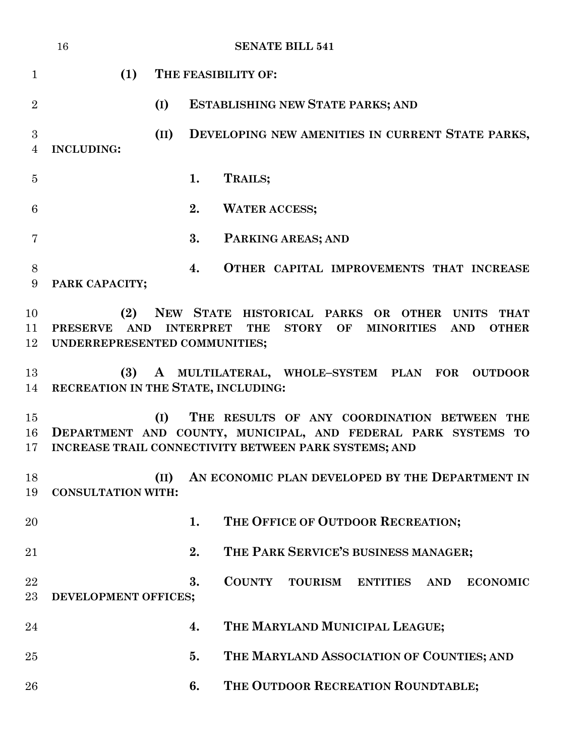|                | 16                                                                                                                                                                                                                                                     |      | <b>SENATE BILL 541</b>                                                                                                                                                |  |
|----------------|--------------------------------------------------------------------------------------------------------------------------------------------------------------------------------------------------------------------------------------------------------|------|-----------------------------------------------------------------------------------------------------------------------------------------------------------------------|--|
| $\mathbf{1}$   | (1)                                                                                                                                                                                                                                                    |      | THE FEASIBILITY OF:                                                                                                                                                   |  |
| $\overline{2}$ |                                                                                                                                                                                                                                                        | (I)  | ESTABLISHING NEW STATE PARKS; AND                                                                                                                                     |  |
| 3<br>4         | <b>INCLUDING:</b>                                                                                                                                                                                                                                      | (II) | DEVELOPING NEW AMENITIES IN CURRENT STATE PARKS,                                                                                                                      |  |
| $\overline{5}$ |                                                                                                                                                                                                                                                        | 1.   | TRAILS;                                                                                                                                                               |  |
| 6              |                                                                                                                                                                                                                                                        | 2.   | <b>WATER ACCESS;</b>                                                                                                                                                  |  |
| 7              |                                                                                                                                                                                                                                                        | 3.   | PARKING AREAS; AND                                                                                                                                                    |  |
| $8\,$<br>9     | PARK CAPACITY;                                                                                                                                                                                                                                         | 4.   | OTHER CAPITAL IMPROVEMENTS THAT INCREASE                                                                                                                              |  |
| 10<br>11<br>12 | (2)<br>NEW STATE HISTORICAL PARKS OR OTHER<br><b>UNITS</b><br><b>THAT</b><br><b>PRESERVE</b><br><b>AND</b><br><b>INTERPRET</b><br><b>MINORITIES</b><br><b>THE</b><br><b>STORY</b><br>OF<br><b>AND</b><br><b>OTHER</b><br>UNDERREPRESENTED COMMUNITIES; |      |                                                                                                                                                                       |  |
| 13<br>14       | (3)<br>RECREATION IN THE STATE, INCLUDING:                                                                                                                                                                                                             |      | A MULTILATERAL, WHOLE-SYSTEM PLAN FOR<br><b>OUTDOOR</b>                                                                                                               |  |
| 15<br>16<br>17 |                                                                                                                                                                                                                                                        | (I)  | THE RESULTS OF ANY COORDINATION BETWEEN THE<br>DEPARTMENT AND COUNTY, MUNICIPAL, AND FEDERAL PARK SYSTEMS TO<br>INCREASE TRAIL CONNECTIVITY BETWEEN PARK SYSTEMS; AND |  |
| 18<br>19       | <b>CONSULTATION WITH:</b>                                                                                                                                                                                                                              | (II) | AN ECONOMIC PLAN DEVELOPED BY THE DEPARTMENT IN                                                                                                                       |  |
| 20             |                                                                                                                                                                                                                                                        | 1.   | THE OFFICE OF OUTDOOR RECREATION;                                                                                                                                     |  |
| 21             |                                                                                                                                                                                                                                                        | 2.   | THE PARK SERVICE'S BUSINESS MANAGER;                                                                                                                                  |  |
| 22<br>23       | DEVELOPMENT OFFICES;                                                                                                                                                                                                                                   | 3.   | <b>COUNTY</b><br><b>TOURISM</b><br><b>ENTITIES</b><br><b>ECONOMIC</b><br><b>AND</b>                                                                                   |  |
| 24             |                                                                                                                                                                                                                                                        | 4.   | THE MARYLAND MUNICIPAL LEAGUE;                                                                                                                                        |  |
| 25             |                                                                                                                                                                                                                                                        | 5.   | THE MARYLAND ASSOCIATION OF COUNTIES; AND                                                                                                                             |  |
| 26             |                                                                                                                                                                                                                                                        | 6.   | THE OUTDOOR RECREATION ROUNDTABLE;                                                                                                                                    |  |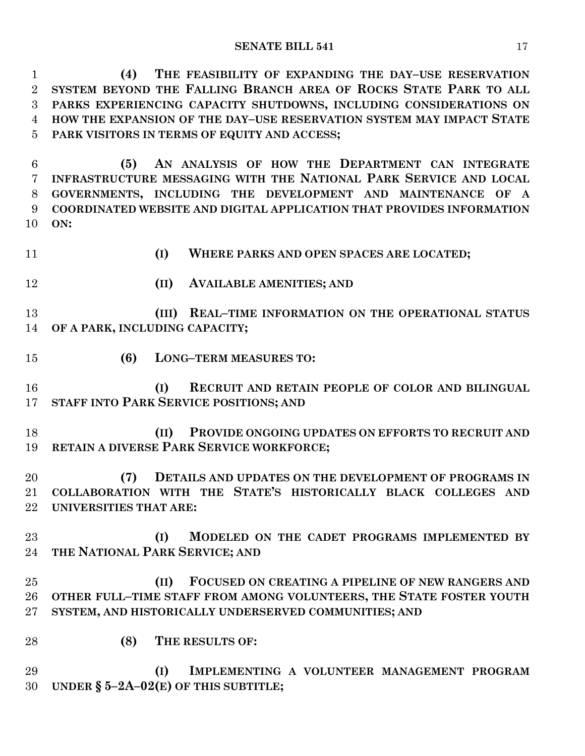**(4) THE FEASIBILITY OF EXPANDING THE DAY–USE RESERVATION SYSTEM BEYOND THE FALLING BRANCH AREA OF ROCKS STATE PARK TO ALL PARKS EXPERIENCING CAPACITY SHUTDOWNS, INCLUDING CONSIDERATIONS ON HOW THE EXPANSION OF THE DAY–USE RESERVATION SYSTEM MAY IMPACT STATE PARK VISITORS IN TERMS OF EQUITY AND ACCESS;**

 **(5) AN ANALYSIS OF HOW THE DEPARTMENT CAN INTEGRATE INFRASTRUCTURE MESSAGING WITH THE NATIONAL PARK SERVICE AND LOCAL GOVERNMENTS, INCLUDING THE DEVELOPMENT AND MAINTENANCE OF A COORDINATED WEBSITE AND DIGITAL APPLICATION THAT PROVIDES INFORMATION ON:**

- 
- **(I) WHERE PARKS AND OPEN SPACES ARE LOCATED;**
- 
- **(II) AVAILABLE AMENITIES; AND**

 **(III) REAL–TIME INFORMATION ON THE OPERATIONAL STATUS OF A PARK, INCLUDING CAPACITY;**

**(6) LONG–TERM MEASURES TO:**

 **(I) RECRUIT AND RETAIN PEOPLE OF COLOR AND BILINGUAL STAFF INTO PARK SERVICE POSITIONS; AND** 

 **(II) PROVIDE ONGOING UPDATES ON EFFORTS TO RECRUIT AND RETAIN A DIVERSE PARK SERVICE WORKFORCE;**

 **(7) DETAILS AND UPDATES ON THE DEVELOPMENT OF PROGRAMS IN COLLABORATION WITH THE STATE'S HISTORICALLY BLACK COLLEGES AND UNIVERSITIES THAT ARE:**

 **(I) MODELED ON THE CADET PROGRAMS IMPLEMENTED BY THE NATIONAL PARK SERVICE; AND** 

 **(II) FOCUSED ON CREATING A PIPELINE OF NEW RANGERS AND OTHER FULL–TIME STAFF FROM AMONG VOLUNTEERS, THE STATE FOSTER YOUTH SYSTEM, AND HISTORICALLY UNDERSERVED COMMUNITIES; AND**

**(8) THE RESULTS OF:**

 **(I) IMPLEMENTING A VOLUNTEER MANAGEMENT PROGRAM UNDER § 5–2A–02(E) OF THIS SUBTITLE;**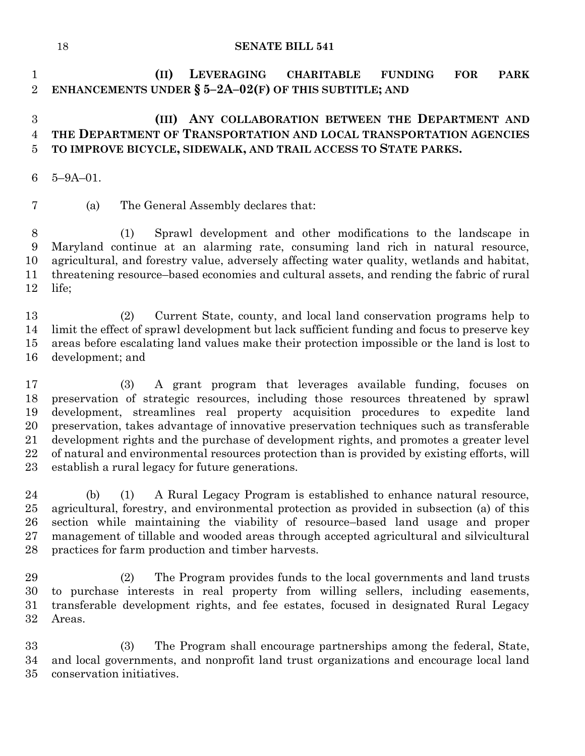**(II) LEVERAGING CHARITABLE FUNDING FOR PARK ENHANCEMENTS UNDER § 5–2A–02(F) OF THIS SUBTITLE; AND**

# **(III) ANY COLLABORATION BETWEEN THE DEPARTMENT AND THE DEPARTMENT OF TRANSPORTATION AND LOCAL TRANSPORTATION AGENCIES TO IMPROVE BICYCLE, SIDEWALK, AND TRAIL ACCESS TO STATE PARKS.**

- 5–9A–01.
- (a) The General Assembly declares that:

 (1) Sprawl development and other modifications to the landscape in Maryland continue at an alarming rate, consuming land rich in natural resource, agricultural, and forestry value, adversely affecting water quality, wetlands and habitat, threatening resource–based economies and cultural assets, and rending the fabric of rural life;

 (2) Current State, county, and local land conservation programs help to limit the effect of sprawl development but lack sufficient funding and focus to preserve key areas before escalating land values make their protection impossible or the land is lost to development; and

 (3) A grant program that leverages available funding, focuses on preservation of strategic resources, including those resources threatened by sprawl development, streamlines real property acquisition procedures to expedite land preservation, takes advantage of innovative preservation techniques such as transferable development rights and the purchase of development rights, and promotes a greater level of natural and environmental resources protection than is provided by existing efforts, will establish a rural legacy for future generations.

 (b) (1) A Rural Legacy Program is established to enhance natural resource, agricultural, forestry, and environmental protection as provided in subsection (a) of this section while maintaining the viability of resource–based land usage and proper management of tillable and wooded areas through accepted agricultural and silvicultural practices for farm production and timber harvests.

 (2) The Program provides funds to the local governments and land trusts to purchase interests in real property from willing sellers, including easements, transferable development rights, and fee estates, focused in designated Rural Legacy Areas.

 (3) The Program shall encourage partnerships among the federal, State, and local governments, and nonprofit land trust organizations and encourage local land conservation initiatives.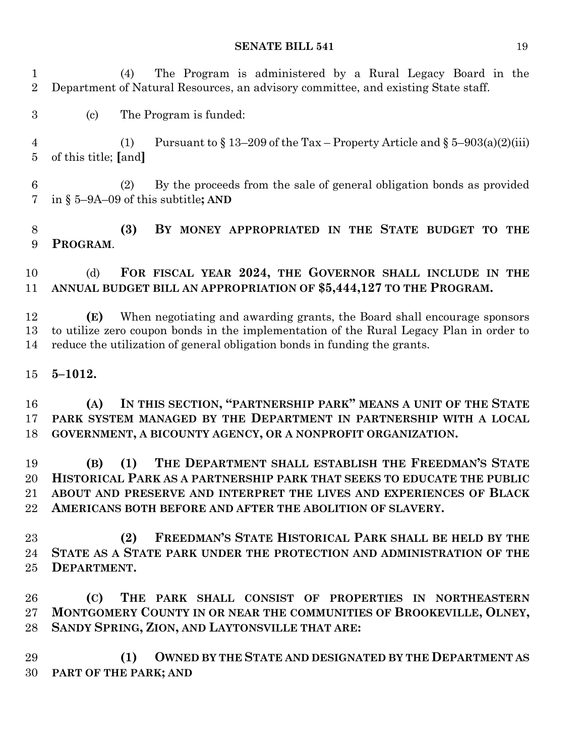(4) The Program is administered by a Rural Legacy Board in the Department of Natural Resources, an advisory committee, and existing State staff.

(c) The Program is funded:

4 (1) Pursuant to  $\frac{13-209}{6}$  the Tax – Property Article and  $\frac{5-903(a)(2)(iii)}{2}$ of this title; **[**and**]**

 (2) By the proceeds from the sale of general obligation bonds as provided in § 5–9A–09 of this subtitle**; AND**

 **(3) BY MONEY APPROPRIATED IN THE STATE BUDGET TO THE PROGRAM**.

 (d) **FOR FISCAL YEAR 2024, THE GOVERNOR SHALL INCLUDE IN THE ANNUAL BUDGET BILL AN APPROPRIATION OF \$5,444,127 TO THE PROGRAM.**

 **(E)** When negotiating and awarding grants, the Board shall encourage sponsors to utilize zero coupon bonds in the implementation of the Rural Legacy Plan in order to reduce the utilization of general obligation bonds in funding the grants.

**5–1012.**

 **(A) IN THIS SECTION, "PARTNERSHIP PARK" MEANS A UNIT OF THE STATE PARK SYSTEM MANAGED BY THE DEPARTMENT IN PARTNERSHIP WITH A LOCAL GOVERNMENT, A BICOUNTY AGENCY, OR A NONPROFIT ORGANIZATION.**

 **(B) (1) THE DEPARTMENT SHALL ESTABLISH THE FREEDMAN'S STATE HISTORICAL PARK AS A PARTNERSHIP PARK THAT SEEKS TO EDUCATE THE PUBLIC ABOUT AND PRESERVE AND INTERPRET THE LIVES AND EXPERIENCES OF BLACK AMERICANS BOTH BEFORE AND AFTER THE ABOLITION OF SLAVERY.**

 **(2) FREEDMAN'S STATE HISTORICAL PARK SHALL BE HELD BY THE STATE AS A STATE PARK UNDER THE PROTECTION AND ADMINISTRATION OF THE DEPARTMENT.**

 **(C) THE PARK SHALL CONSIST OF PROPERTIES IN NORTHEASTERN MONTGOMERY COUNTY IN OR NEAR THE COMMUNITIES OF BROOKEVILLE, OLNEY, SANDY SPRING, ZION, AND LAYTONSVILLE THAT ARE:**

 **(1) OWNED BY THE STATE AND DESIGNATED BY THE DEPARTMENT AS PART OF THE PARK; AND**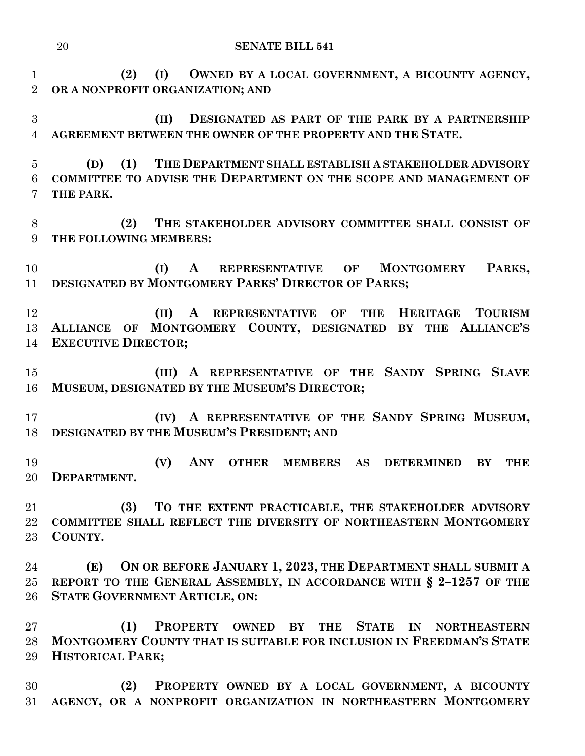**(2) (I) OWNED BY A LOCAL GOVERNMENT, A BICOUNTY AGENCY, OR A NONPROFIT ORGANIZATION; AND** 

 **(II) DESIGNATED AS PART OF THE PARK BY A PARTNERSHIP AGREEMENT BETWEEN THE OWNER OF THE PROPERTY AND THE STATE.**

 **(D) (1) THE DEPARTMENT SHALL ESTABLISH A STAKEHOLDER ADVISORY COMMITTEE TO ADVISE THE DEPARTMENT ON THE SCOPE AND MANAGEMENT OF THE PARK.**

 **(2) THE STAKEHOLDER ADVISORY COMMITTEE SHALL CONSIST OF THE FOLLOWING MEMBERS:**

 **(I) A REPRESENTATIVE OF MONTGOMERY PARKS, DESIGNATED BY MONTGOMERY PARKS' DIRECTOR OF PARKS;**

 **(II) A REPRESENTATIVE OF THE HERITAGE TOURISM ALLIANCE OF MONTGOMERY COUNTY, DESIGNATED BY THE ALLIANCE'S EXECUTIVE DIRECTOR;**

 **(III) A REPRESENTATIVE OF THE SANDY SPRING SLAVE MUSEUM, DESIGNATED BY THE MUSEUM'S DIRECTOR;**

 **(IV) A REPRESENTATIVE OF THE SANDY SPRING MUSEUM, DESIGNATED BY THE MUSEUM'S PRESIDENT; AND** 

 **(V) ANY OTHER MEMBERS AS DETERMINED BY THE DEPARTMENT.**

 **(3) TO THE EXTENT PRACTICABLE, THE STAKEHOLDER ADVISORY COMMITTEE SHALL REFLECT THE DIVERSITY OF NORTHEASTERN MONTGOMERY COUNTY.**

 **(E) ON OR BEFORE JANUARY 1, 2023, THE DEPARTMENT SHALL SUBMIT A REPORT TO THE GENERAL ASSEMBLY, IN ACCORDANCE WITH § 2–1257 OF THE STATE GOVERNMENT ARTICLE, ON:**

 **(1) PROPERTY OWNED BY THE STATE IN NORTHEASTERN MONTGOMERY COUNTY THAT IS SUITABLE FOR INCLUSION IN FREEDMAN'S STATE HISTORICAL PARK;**

 **(2) PROPERTY OWNED BY A LOCAL GOVERNMENT, A BICOUNTY AGENCY, OR A NONPROFIT ORGANIZATION IN NORTHEASTERN MONTGOMERY**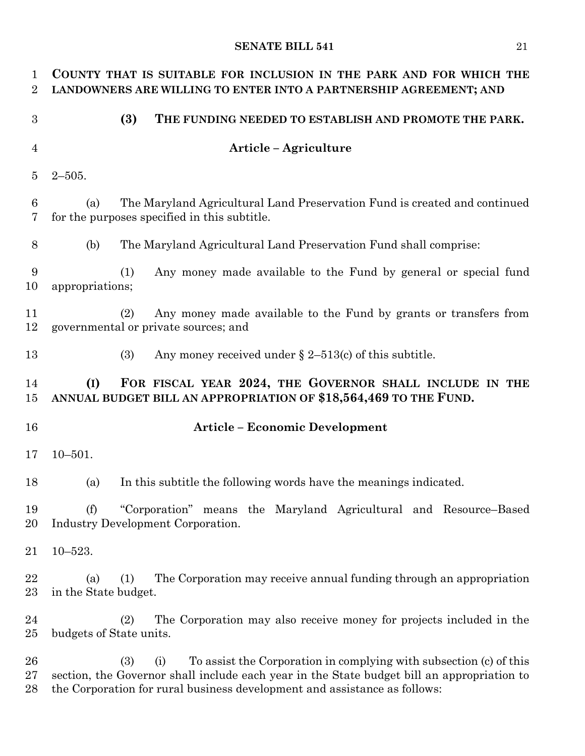| 1<br>$\overline{2}$ | COUNTY THAT IS SUITABLE FOR INCLUSION IN THE PARK AND FOR WHICH THE<br>LANDOWNERS ARE WILLING TO ENTER INTO A PARTNERSHIP AGREEMENT; AND                                                                                                                    |
|---------------------|-------------------------------------------------------------------------------------------------------------------------------------------------------------------------------------------------------------------------------------------------------------|
| 3                   | (3)<br>THE FUNDING NEEDED TO ESTABLISH AND PROMOTE THE PARK.                                                                                                                                                                                                |
| $\overline{4}$      | Article – Agriculture                                                                                                                                                                                                                                       |
| $\overline{5}$      | $2 - 505$ .                                                                                                                                                                                                                                                 |
| 6<br>7              | The Maryland Agricultural Land Preservation Fund is created and continued<br>(a)<br>for the purposes specified in this subtitle.                                                                                                                            |
| 8                   | (b)<br>The Maryland Agricultural Land Preservation Fund shall comprise:                                                                                                                                                                                     |
| 9<br>10             | Any money made available to the Fund by general or special fund<br>(1)<br>appropriations;                                                                                                                                                                   |
| 11<br>12            | Any money made available to the Fund by grants or transfers from<br>(2)<br>governmental or private sources; and                                                                                                                                             |
| 13                  | Any money received under $\S 2-513(c)$ of this subtitle.<br>(3)                                                                                                                                                                                             |
| 14<br>15            | FOR FISCAL YEAR 2024, THE GOVERNOR SHALL INCLUDE IN THE<br>(I)<br>ANNUAL BUDGET BILL AN APPROPRIATION OF \$18,564,469 TO THE FUND.                                                                                                                          |
| 16                  | <b>Article - Economic Development</b>                                                                                                                                                                                                                       |
| 17                  | $10 - 501.$                                                                                                                                                                                                                                                 |
| 18                  | In this subtitle the following words have the meanings indicated.<br>(a)                                                                                                                                                                                    |
| 19<br>20            | "Corporation" means the Maryland Agricultural and Resource-Based<br>(f)<br><b>Industry Development Corporation.</b>                                                                                                                                         |
| 21                  | $10 - 523.$                                                                                                                                                                                                                                                 |
| 22<br>23            | The Corporation may receive annual funding through an appropriation<br>(1)<br>(a)<br>in the State budget.                                                                                                                                                   |
| 24<br>25            | The Corporation may also receive money for projects included in the<br>(2)<br>budgets of State units.                                                                                                                                                       |
| 26<br>27<br>28      | (3)<br>To assist the Corporation in complying with subsection (c) of this<br>(i)<br>section, the Governor shall include each year in the State budget bill an appropriation to<br>the Corporation for rural business development and assistance as follows: |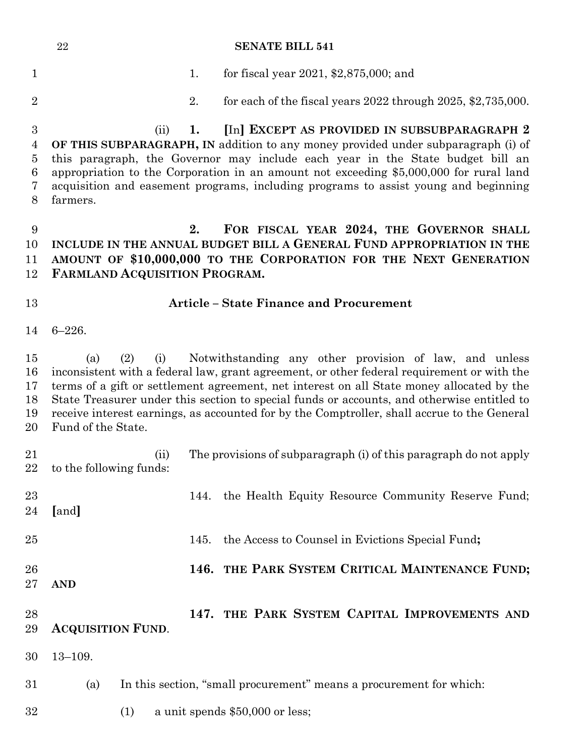|                  | $\bf 22$                                                                            |                               |      | <b>SENATE BILL 541</b>                                                                                                                                                                  |  |
|------------------|-------------------------------------------------------------------------------------|-------------------------------|------|-----------------------------------------------------------------------------------------------------------------------------------------------------------------------------------------|--|
| $\mathbf{1}$     |                                                                                     |                               | 1.   | for fiscal year $2021, $2,875,000$ ; and                                                                                                                                                |  |
| $\overline{2}$   |                                                                                     |                               | 2.   | for each of the fiscal years $2022$ through $2025$ , $2735,000$ .                                                                                                                       |  |
| $\boldsymbol{3}$ |                                                                                     | (ii)                          | 1.   | [In] EXCEPT AS PROVIDED IN SUBSUBPARAGRAPH 2                                                                                                                                            |  |
| $\overline{4}$   |                                                                                     |                               |      | OF THIS SUBPARAGRAPH, IN addition to any money provided under subparagraph (i) of                                                                                                       |  |
| $\bf 5$<br>6     |                                                                                     |                               |      | this paragraph, the Governor may include each year in the State budget bill an<br>appropriation to the Corporation in an amount not exceeding \$5,000,000 for rural land                |  |
| 7                | acquisition and easement programs, including programs to assist young and beginning |                               |      |                                                                                                                                                                                         |  |
| 8                | farmers.                                                                            |                               |      |                                                                                                                                                                                         |  |
| 9                |                                                                                     |                               | 2.   | FOR FISCAL YEAR 2024, THE GOVERNOR SHALL                                                                                                                                                |  |
| 10               |                                                                                     |                               |      | INCLUDE IN THE ANNUAL BUDGET BILL A GENERAL FUND APPROPRIATION IN THE                                                                                                                   |  |
| 11<br>12         |                                                                                     | FARMLAND ACQUISITION PROGRAM. |      | AMOUNT OF \$10,000,000 TO THE CORPORATION FOR THE NEXT GENERATION                                                                                                                       |  |
| 13               | <b>Article - State Finance and Procurement</b>                                      |                               |      |                                                                                                                                                                                         |  |
| 14               | $6 - 226.$                                                                          |                               |      |                                                                                                                                                                                         |  |
| 15               | (a)                                                                                 | (2)<br>(i)                    |      | Notwithstanding any other provision of law, and unless                                                                                                                                  |  |
| 16<br>17         |                                                                                     |                               |      | inconsistent with a federal law, grant agreement, or other federal requirement or with the<br>terms of a gift or settlement agreement, net interest on all State money allocated by the |  |
| 18               |                                                                                     |                               |      | State Treasurer under this section to special funds or accounts, and otherwise entitled to                                                                                              |  |
| 19               |                                                                                     |                               |      | receive interest earnings, as accounted for by the Comptroller, shall accrue to the General                                                                                             |  |
| 20               | Fund of the State.                                                                  |                               |      |                                                                                                                                                                                         |  |
| 21               |                                                                                     | (ii)                          |      | The provisions of subparagraph (i) of this paragraph do not apply                                                                                                                       |  |
|                  | 22 to the following funds:                                                          |                               |      |                                                                                                                                                                                         |  |
| 23               |                                                                                     |                               | 144. | the Health Equity Resource Community Reserve Fund;                                                                                                                                      |  |
| 24               | [and]                                                                               |                               |      |                                                                                                                                                                                         |  |
| 25               |                                                                                     |                               | 145. | the Access to Counsel in Evictions Special Fund;                                                                                                                                        |  |
| 26               |                                                                                     |                               |      | 146. THE PARK SYSTEM CRITICAL MAINTENANCE FUND;                                                                                                                                         |  |
| $27\,$           | <b>AND</b>                                                                          |                               |      |                                                                                                                                                                                         |  |
|                  |                                                                                     |                               |      |                                                                                                                                                                                         |  |
| 28<br>29         | <b>ACQUISITION FUND.</b>                                                            |                               |      | 147. THE PARK SYSTEM CAPITAL IMPROVEMENTS AND                                                                                                                                           |  |
|                  |                                                                                     |                               |      |                                                                                                                                                                                         |  |
| 30               | $13 - 109.$                                                                         |                               |      |                                                                                                                                                                                         |  |
| 31               | (a)                                                                                 |                               |      | In this section, "small procurement" means a procurement for which:                                                                                                                     |  |
| $32\,$           |                                                                                     | (1)                           |      | a unit spends \$50,000 or less;                                                                                                                                                         |  |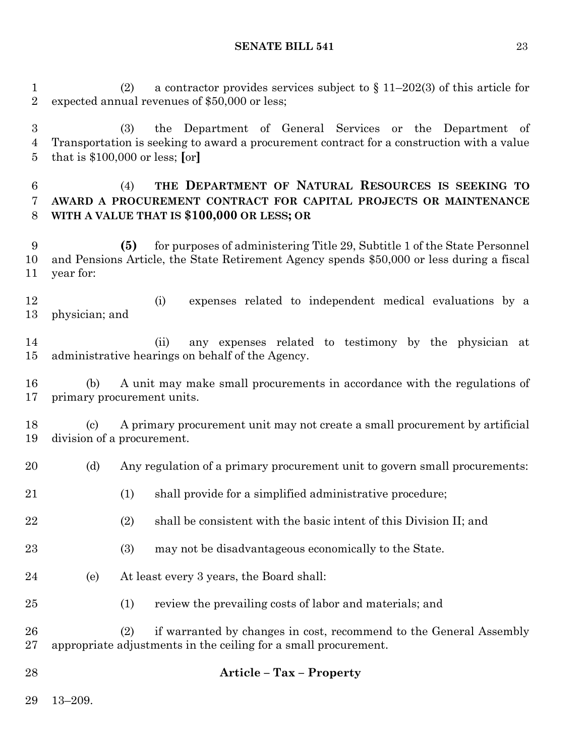(2) a contractor provides services subject to § 11–202(3) of this article for expected annual revenues of \$50,000 or less;

 (3) the Department of General Services or the Department of Transportation is seeking to award a procurement contract for a construction with a value that is \$100,000 or less; **[**or**]**

# (4) **THE DEPARTMENT OF NATURAL RESOURCES IS SEEKING TO AWARD A PROCUREMENT CONTRACT FOR CAPITAL PROJECTS OR MAINTENANCE WITH A VALUE THAT IS \$100,000 OR LESS; OR**

 **(5)** for purposes of administering Title 29, Subtitle 1 of the State Personnel and Pensions Article, the State Retirement Agency spends \$50,000 or less during a fiscal year for:

 (i) expenses related to independent medical evaluations by a physician; and

 (ii) any expenses related to testimony by the physician at administrative hearings on behalf of the Agency.

 (b) A unit may make small procurements in accordance with the regulations of primary procurement units.

 (c) A primary procurement unit may not create a small procurement by artificial division of a procurement.

- 20 (d) Any regulation of a primary procurement unit to govern small procurements:
- 21 (1) shall provide for a simplified administrative procedure;
- (2) shall be consistent with the basic intent of this Division II; and
- (3) may not be disadvantageous economically to the State.
- (e) At least every 3 years, the Board shall:
- (1) review the prevailing costs of labor and materials; and

 (2) if warranted by changes in cost, recommend to the General Assembly appropriate adjustments in the ceiling for a small procurement.

## **Article – Tax – Property**

13–209.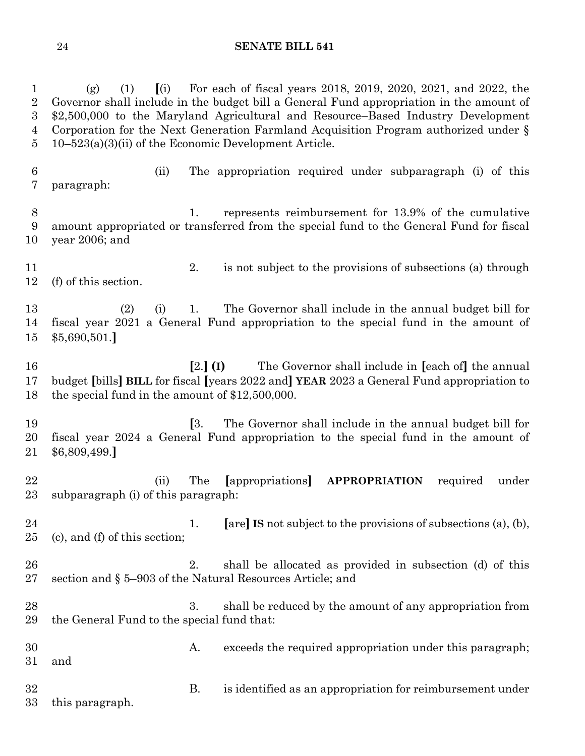(g) (1) **[**(i) For each of fiscal years 2018, 2019, 2020, 2021, and 2022, the Governor shall include in the budget bill a General Fund appropriation in the amount of \$2,500,000 to the Maryland Agricultural and Resource–Based Industry Development Corporation for the Next Generation Farmland Acquisition Program authorized under § 10–523(a)(3)(ii) of the Economic Development Article.

 (ii) The appropriation required under subparagraph (i) of this paragraph:

 1. represents reimbursement for 13.9% of the cumulative amount appropriated or transferred from the special fund to the General Fund for fiscal year 2006; and

 2. is not subject to the provisions of subsections (a) through (f) of this section.

 (2) (i) 1. The Governor shall include in the annual budget bill for fiscal year 2021 a General Fund appropriation to the special fund in the amount of \$5,690,501.**]**

 **[**2.**] (I)** The Governor shall include in **[**each of**]** the annual budget **[**bills**] BILL** for fiscal **[**years 2022 and**] YEAR** 2023 a General Fund appropriation to the special fund in the amount of \$12,500,000.

 **[**3. The Governor shall include in the annual budget bill for fiscal year 2024 a General Fund appropriation to the special fund in the amount of \$6,809,499.**]**

 (ii) The **[**appropriations**] APPROPRIATION** required under subparagraph (i) of this paragraph:

 1. **[**are**] IS** not subject to the provisions of subsections (a), (b), (c), and (f) of this section;

 2. shall be allocated as provided in subsection (d) of this section and § 5–903 of the Natural Resources Article; and

28 3. shall be reduced by the amount of any appropriation from the General Fund to the special fund that:

 A. exceeds the required appropriation under this paragraph; and B. is identified as an appropriation for reimbursement under

this paragraph.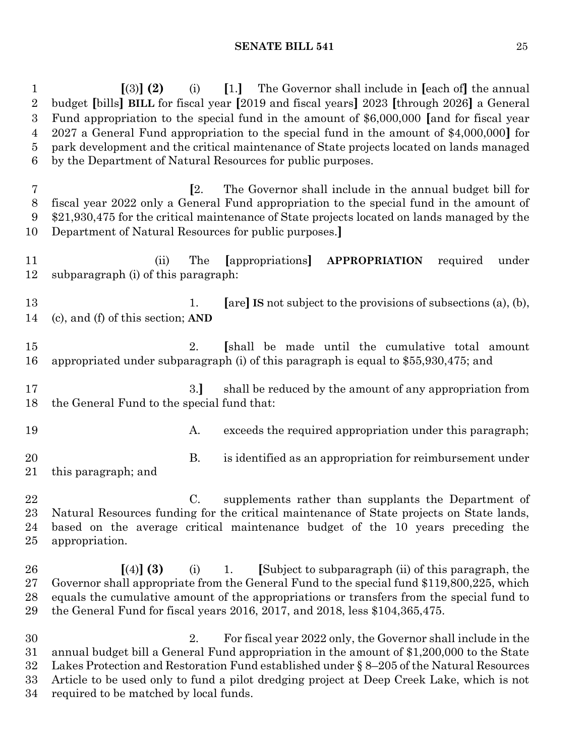**[**(3)**] (2)** (i) **[**1.**]** The Governor shall include in **[**each of**]** the annual budget **[**bills**] BILL** for fiscal year **[**2019 and fiscal years**]** 2023 **[**through 2026**]** a General Fund appropriation to the special fund in the amount of \$6,000,000 **[**and for fiscal year 2027 a General Fund appropriation to the special fund in the amount of \$4,000,000**]** for park development and the critical maintenance of State projects located on lands managed by the Department of Natural Resources for public purposes. **[**2. The Governor shall include in the annual budget bill for fiscal year 2022 only a General Fund appropriation to the special fund in the amount of \$21,930,475 for the critical maintenance of State projects located on lands managed by the Department of Natural Resources for public purposes.**]** (ii) The **[**appropriations**] APPROPRIATION** required under subparagraph (i) of this paragraph: 1. **[**are**] IS** not subject to the provisions of subsections (a), (b), (c), and (f) of this section; **AND** 2. **[**shall be made until the cumulative total amount appropriated under subparagraph (i) of this paragraph is equal to \$55,930,475; and 3.**]** shall be reduced by the amount of any appropriation from the General Fund to the special fund that: 19 A. exceeds the required appropriation under this paragraph; B. is identified as an appropriation for reimbursement under this paragraph; and C. supplements rather than supplants the Department of Natural Resources funding for the critical maintenance of State projects on State lands, based on the average critical maintenance budget of the 10 years preceding the appropriation. **[**(4)**] (3)** (i) 1. **[**Subject to subparagraph (ii) of this paragraph, the Governor shall appropriate from the General Fund to the special fund \$119,800,225, which equals the cumulative amount of the appropriations or transfers from the special fund to the General Fund for fiscal years 2016, 2017, and 2018, less \$104,365,475. 2. For fiscal year 2022 only, the Governor shall include in the annual budget bill a General Fund appropriation in the amount of \$1,200,000 to the State Lakes Protection and Restoration Fund established under § 8–205 of the Natural Resources Article to be used only to fund a pilot dredging project at Deep Creek Lake, which is not required to be matched by local funds.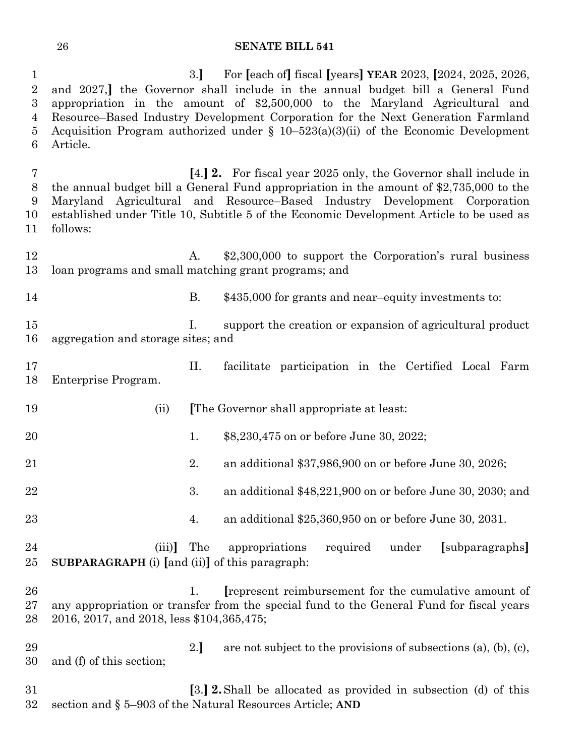3.**]** For **[**each of**]** fiscal **[**years**] YEAR** 2023, **[**2024, 2025, 2026, and 2027,**]** the Governor shall include in the annual budget bill a General Fund appropriation in the amount of \$2,500,000 to the Maryland Agricultural and Resource–Based Industry Development Corporation for the Next Generation Farmland Acquisition Program authorized under § 10–523(a)(3)(ii) of the Economic Development Article.

 **[**4.**] 2.** For fiscal year 2025 only, the Governor shall include in the annual budget bill a General Fund appropriation in the amount of \$2,735,000 to the Maryland Agricultural and Resource–Based Industry Development Corporation established under Title 10, Subtitle 5 of the Economic Development Article to be used as follows:

- 12 A. \$2,300,000 to support the Corporation's rural business loan programs and small matching grant programs; and
- B. \$435,000 for grants and near–equity investments to:
- I. support the creation or expansion of agricultural product aggregation and storage sites; and
- II. facilitate participation in the Certified Local Farm Enterprise Program.
- (ii) **[**The Governor shall appropriate at least: 1. \$8,230,475 on or before June 30, 2022; 2. an additional \$37,986,900 on or before June 30, 2026; 3. an additional \$48,221,900 on or before June 30, 2030; and 4. an additional \$25,360,950 on or before June 30, 2031. (iii)**]** The appropriations required under **[**subparagraphs**] SUBPARAGRAPH** (i) **[**and (ii)**]** of this paragraph: 1. **[**represent reimbursement for the cumulative amount of any appropriation or transfer from the special fund to the General Fund for fiscal years 2016, 2017, and 2018, less \$104,365,475; 29 2.] are not subject to the provisions of subsections (a), (b), (c), and (f) of this section; **[**3.**] 2.**Shall be allocated as provided in subsection (d) of this section and § 5–903 of the Natural Resources Article; **AND**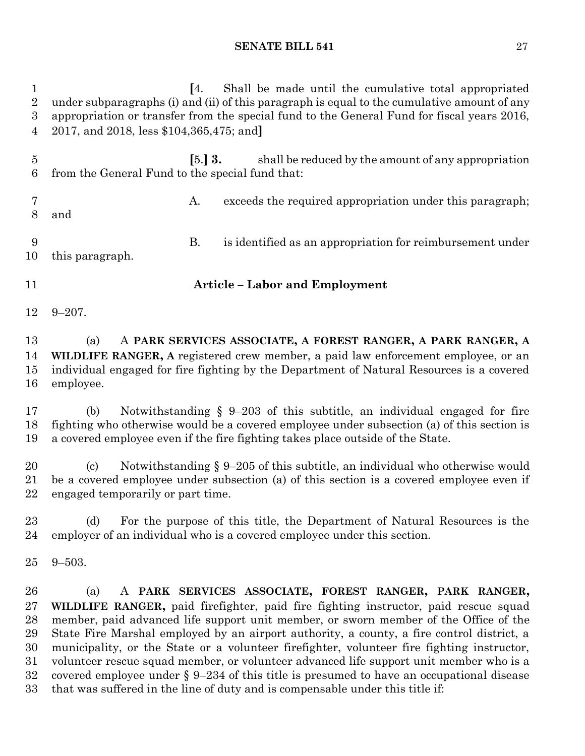| $\mathbf{1}$<br>$\overline{2}$<br>$\boldsymbol{3}$<br>4 | Shall be made until the cumulative total appropriated<br>[4]<br>under subparagraphs (i) and (ii) of this paragraph is equal to the cumulative amount of any<br>appropriation or transfer from the special fund to the General Fund for fiscal years 2016,<br>2017, and 2018, less \$104,365,475; and                                                                                                                                                                                                                                                                                                                                                                                                              |
|---------------------------------------------------------|-------------------------------------------------------------------------------------------------------------------------------------------------------------------------------------------------------------------------------------------------------------------------------------------------------------------------------------------------------------------------------------------------------------------------------------------------------------------------------------------------------------------------------------------------------------------------------------------------------------------------------------------------------------------------------------------------------------------|
| $\overline{5}$<br>6                                     | $\left[5\right]3$ .<br>shall be reduced by the amount of any appropriation<br>from the General Fund to the special fund that:                                                                                                                                                                                                                                                                                                                                                                                                                                                                                                                                                                                     |
| 7<br>8                                                  | exceeds the required appropriation under this paragraph;<br>A.<br>and                                                                                                                                                                                                                                                                                                                                                                                                                                                                                                                                                                                                                                             |
| 9<br>10                                                 | <b>B.</b><br>is identified as an appropriation for reimbursement under<br>this paragraph.                                                                                                                                                                                                                                                                                                                                                                                                                                                                                                                                                                                                                         |
| 11                                                      | <b>Article - Labor and Employment</b>                                                                                                                                                                                                                                                                                                                                                                                                                                                                                                                                                                                                                                                                             |
| 12                                                      | $9 - 207$ .                                                                                                                                                                                                                                                                                                                                                                                                                                                                                                                                                                                                                                                                                                       |
| 13<br>14<br>15<br>16                                    | A PARK SERVICES ASSOCIATE, A FOREST RANGER, A PARK RANGER, A<br>(a)<br>WILDLIFE RANGER, A registered crew member, a paid law enforcement employee, or an<br>individual engaged for fire fighting by the Department of Natural Resources is a covered<br>employee.                                                                                                                                                                                                                                                                                                                                                                                                                                                 |
| 17<br>18<br>19                                          | Notwithstanding $\S$ 9-203 of this subtitle, an individual engaged for fire<br>(b)<br>fighting who otherwise would be a covered employee under subsection (a) of this section is<br>a covered employee even if the fire fighting takes place outside of the State.                                                                                                                                                                                                                                                                                                                                                                                                                                                |
| 20<br>21<br>22                                          | Notwithstanding $\S 9-205$ of this subtitle, an individual who otherwise would<br>$\left( \mathrm{c}\right)$<br>be a covered employee under subsection (a) of this section is a covered employee even if<br>engaged temporarily or part time.                                                                                                                                                                                                                                                                                                                                                                                                                                                                     |
| 23<br>24                                                | For the purpose of this title, the Department of Natural Resources is the<br>(d)<br>employer of an individual who is a covered employee under this section.                                                                                                                                                                                                                                                                                                                                                                                                                                                                                                                                                       |
| 25                                                      | $9 - 503.$                                                                                                                                                                                                                                                                                                                                                                                                                                                                                                                                                                                                                                                                                                        |
| 26<br>27<br>28<br>29<br>30<br>31<br>32<br>33            | A PARK SERVICES ASSOCIATE, FOREST RANGER, PARK RANGER,<br>(a)<br>WILDLIFE RANGER, paid firefighter, paid fire fighting instructor, paid rescue squad<br>member, paid advanced life support unit member, or sworn member of the Office of the<br>State Fire Marshal employed by an airport authority, a county, a fire control district, a<br>municipality, or the State or a volunteer firefighter, volunteer fire fighting instructor,<br>volunteer rescue squad member, or volunteer advanced life support unit member who is a<br>covered employee under $\S 9-234$ of this title is presumed to have an occupational disease<br>that was suffered in the line of duty and is compensable under this title if: |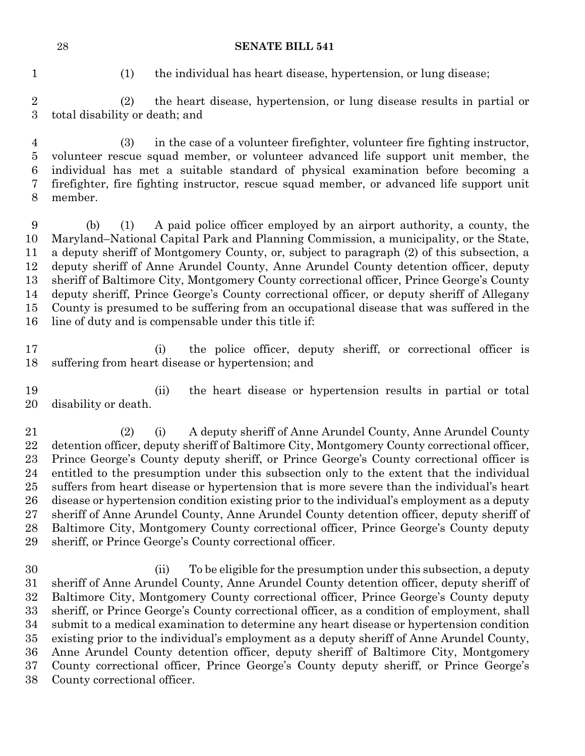(1) the individual has heart disease, hypertension, or lung disease;

 (2) the heart disease, hypertension, or lung disease results in partial or total disability or death; and

 (3) in the case of a volunteer firefighter, volunteer fire fighting instructor, volunteer rescue squad member, or volunteer advanced life support unit member, the individual has met a suitable standard of physical examination before becoming a firefighter, fire fighting instructor, rescue squad member, or advanced life support unit member.

 (b) (1) A paid police officer employed by an airport authority, a county, the Maryland–National Capital Park and Planning Commission, a municipality, or the State, a deputy sheriff of Montgomery County, or, subject to paragraph (2) of this subsection, a deputy sheriff of Anne Arundel County, Anne Arundel County detention officer, deputy sheriff of Baltimore City, Montgomery County correctional officer, Prince George's County deputy sheriff, Prince George's County correctional officer, or deputy sheriff of Allegany County is presumed to be suffering from an occupational disease that was suffered in the line of duty and is compensable under this title if:

 (i) the police officer, deputy sheriff, or correctional officer is suffering from heart disease or hypertension; and

 (ii) the heart disease or hypertension results in partial or total disability or death.

 (2) (i) A deputy sheriff of Anne Arundel County, Anne Arundel County detention officer, deputy sheriff of Baltimore City, Montgomery County correctional officer, Prince George's County deputy sheriff, or Prince George's County correctional officer is entitled to the presumption under this subsection only to the extent that the individual suffers from heart disease or hypertension that is more severe than the individual's heart disease or hypertension condition existing prior to the individual's employment as a deputy sheriff of Anne Arundel County, Anne Arundel County detention officer, deputy sheriff of Baltimore City, Montgomery County correctional officer, Prince George's County deputy sheriff, or Prince George's County correctional officer.

 (ii) To be eligible for the presumption under this subsection, a deputy sheriff of Anne Arundel County, Anne Arundel County detention officer, deputy sheriff of Baltimore City, Montgomery County correctional officer, Prince George's County deputy sheriff, or Prince George's County correctional officer, as a condition of employment, shall submit to a medical examination to determine any heart disease or hypertension condition existing prior to the individual's employment as a deputy sheriff of Anne Arundel County, Anne Arundel County detention officer, deputy sheriff of Baltimore City, Montgomery County correctional officer, Prince George's County deputy sheriff, or Prince George's County correctional officer.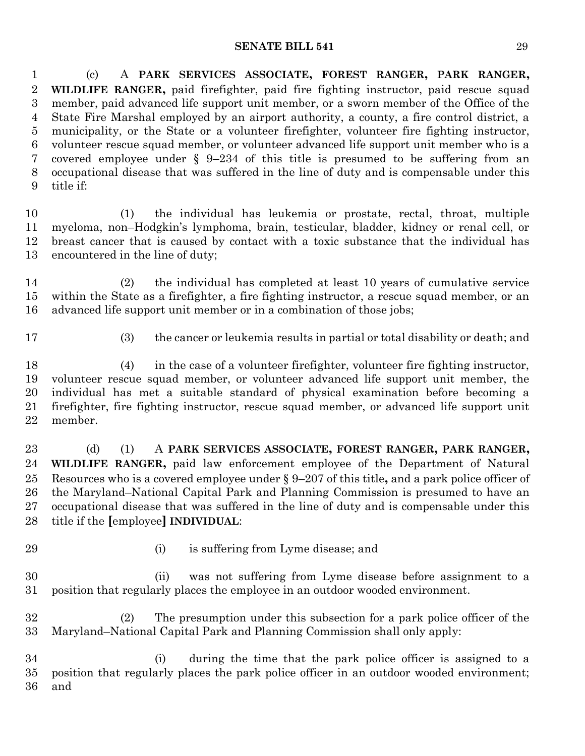(c) A **PARK SERVICES ASSOCIATE, FOREST RANGER, PARK RANGER, WILDLIFE RANGER,** paid firefighter, paid fire fighting instructor, paid rescue squad member, paid advanced life support unit member, or a sworn member of the Office of the State Fire Marshal employed by an airport authority, a county, a fire control district, a municipality, or the State or a volunteer firefighter, volunteer fire fighting instructor, volunteer rescue squad member, or volunteer advanced life support unit member who is a covered employee under § 9–234 of this title is presumed to be suffering from an occupational disease that was suffered in the line of duty and is compensable under this title if:

 (1) the individual has leukemia or prostate, rectal, throat, multiple myeloma, non–Hodgkin's lymphoma, brain, testicular, bladder, kidney or renal cell, or breast cancer that is caused by contact with a toxic substance that the individual has encountered in the line of duty;

 (2) the individual has completed at least 10 years of cumulative service within the State as a firefighter, a fire fighting instructor, a rescue squad member, or an advanced life support unit member or in a combination of those jobs;

- 
- (3) the cancer or leukemia results in partial or total disability or death; and

 (4) in the case of a volunteer firefighter, volunteer fire fighting instructor, volunteer rescue squad member, or volunteer advanced life support unit member, the individual has met a suitable standard of physical examination before becoming a firefighter, fire fighting instructor, rescue squad member, or advanced life support unit member.

 (d) (1) A **PARK SERVICES ASSOCIATE, FOREST RANGER, PARK RANGER, WILDLIFE RANGER,** paid law enforcement employee of the Department of Natural Resources who is a covered employee under § 9–207 of this title**,** and a park police officer of the Maryland–National Capital Park and Planning Commission is presumed to have an occupational disease that was suffered in the line of duty and is compensable under this title if the **[**employee**] INDIVIDUAL**:

- 
- (i) is suffering from Lyme disease; and

 (ii) was not suffering from Lyme disease before assignment to a position that regularly places the employee in an outdoor wooded environment.

 (2) The presumption under this subsection for a park police officer of the Maryland–National Capital Park and Planning Commission shall only apply:

 (i) during the time that the park police officer is assigned to a position that regularly places the park police officer in an outdoor wooded environment; and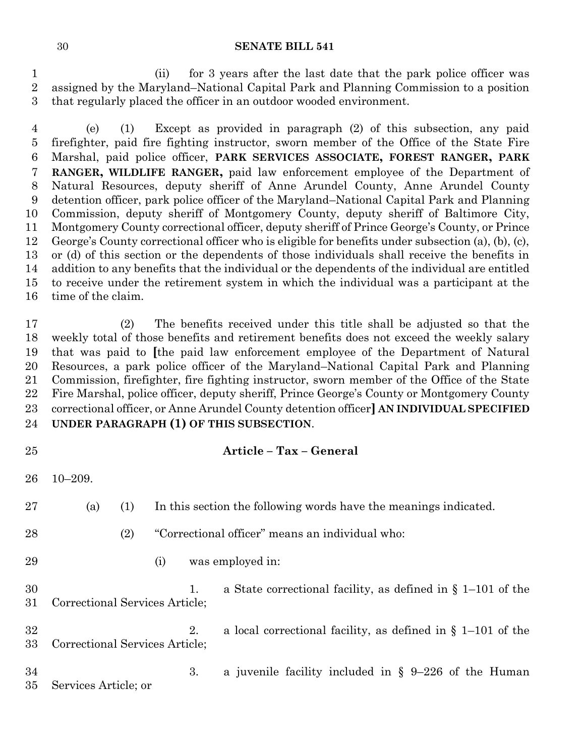(ii) for 3 years after the last date that the park police officer was assigned by the Maryland–National Capital Park and Planning Commission to a position that regularly placed the officer in an outdoor wooded environment.

 (e) (1) Except as provided in paragraph (2) of this subsection, any paid firefighter, paid fire fighting instructor, sworn member of the Office of the State Fire Marshal, paid police officer, **PARK SERVICES ASSOCIATE, FOREST RANGER, PARK RANGER, WILDLIFE RANGER,** paid law enforcement employee of the Department of Natural Resources, deputy sheriff of Anne Arundel County, Anne Arundel County detention officer, park police officer of the Maryland–National Capital Park and Planning Commission, deputy sheriff of Montgomery County, deputy sheriff of Baltimore City, Montgomery County correctional officer, deputy sheriff of Prince George's County, or Prince George's County correctional officer who is eligible for benefits under subsection (a), (b), (c), or (d) of this section or the dependents of those individuals shall receive the benefits in addition to any benefits that the individual or the dependents of the individual are entitled to receive under the retirement system in which the individual was a participant at the time of the claim.

 (2) The benefits received under this title shall be adjusted so that the weekly total of those benefits and retirement benefits does not exceed the weekly salary that was paid to **[**the paid law enforcement employee of the Department of Natural Resources, a park police officer of the Maryland–National Capital Park and Planning Commission, firefighter, fire fighting instructor, sworn member of the Office of the State Fire Marshal, police officer, deputy sheriff, Prince George's County or Montgomery County correctional officer, or Anne Arundel County detention officer**] AN INDIVIDUAL SPECIFIED UNDER PARAGRAPH (1) OF THIS SUBSECTION**.

## **Article – Tax – General**

10–209.

| 27       | (a)                            | (1) | In this section the following words have the meanings indicated. |    |                                                                |
|----------|--------------------------------|-----|------------------------------------------------------------------|----|----------------------------------------------------------------|
| 28       |                                | (2) |                                                                  |    | "Correctional officer" means an individual who:                |
| 29       |                                |     | (i)                                                              |    | was employed in:                                               |
| 30<br>31 | Correctional Services Article; |     |                                                                  | 1. | a State correctional facility, as defined in $\S$ 1–101 of the |
| 32<br>33 | Correctional Services Article; |     |                                                                  | 2. | a local correctional facility, as defined in $\S$ 1–101 of the |
| 34<br>35 | Services Article; or           |     |                                                                  | 3. | a juvenile facility included in $\S$ 9-226 of the Human        |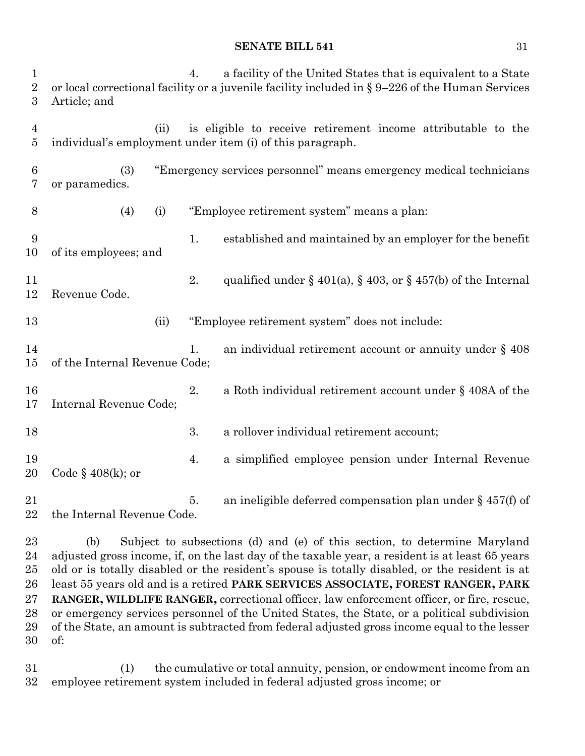4. a facility of the United States that is equivalent to a State 2 or local correctional facility or a juvenile facility included in § 9–226 of the Human Services Article; and (ii) is eligible to receive retirement income attributable to the individual's employment under item (i) of this paragraph. (3) "Emergency services personnel" means emergency medical technicians or paramedics. (4) (i) "Employee retirement system" means a plan: 1. established and maintained by an employer for the benefit of its employees; and 11 2. qualified under  $\S 401(a)$ ,  $\S 403$ , or  $\S 457(b)$  of the Internal Revenue Code. (ii) "Employee retirement system" does not include: 14 1. an individual retirement account or annuity under § 408 of the Internal Revenue Code; 16 2. a Roth individual retirement account under § 408A of the Internal Revenue Code; 3. a rollover individual retirement account; 4. a simplified employee pension under Internal Revenue Code § 408(k); or 21 5. an ineligible deferred compensation plan under § 457(f) of the Internal Revenue Code.

 (b) Subject to subsections (d) and (e) of this section, to determine Maryland adjusted gross income, if, on the last day of the taxable year, a resident is at least 65 years old or is totally disabled or the resident's spouse is totally disabled, or the resident is at least 55 years old and is a retired **PARK SERVICES ASSOCIATE, FOREST RANGER, PARK RANGER, WILDLIFE RANGER,** correctional officer, law enforcement officer, or fire, rescue, or emergency services personnel of the United States, the State, or a political subdivision of the State, an amount is subtracted from federal adjusted gross income equal to the lesser of:

 (1) the cumulative or total annuity, pension, or endowment income from an employee retirement system included in federal adjusted gross income; or